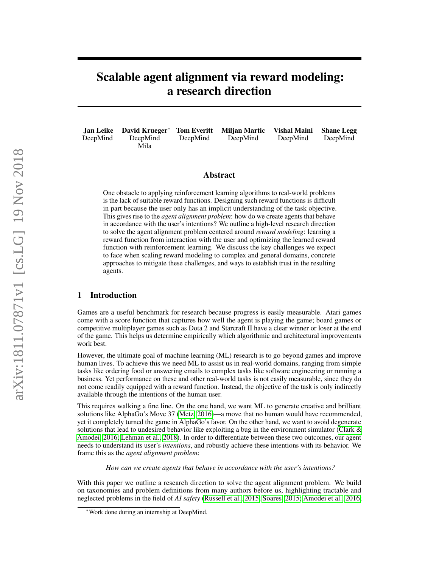# Scalable agent alignment via reward modeling: a research direction

Jan Leike DeepMind David Krueger<sup>\*</sup> DeepMind Mila Tom Everitt DeepMind Miljan Martic DeepMind Vishal Maini DeepMind Shane Legg DeepMind

# Abstract

One obstacle to applying reinforcement learning algorithms to real-world problems is the lack of suitable reward functions. Designing such reward functions is difficult in part because the user only has an implicit understanding of the task objective. This gives rise to the *agent alignment problem*: how do we create agents that behave in accordance with the user's intentions? We outline a high-level research direction to solve the agent alignment problem centered around *reward modeling*: learning a reward function from interaction with the user and optimizing the learned reward function with reinforcement learning. We discuss the key challenges we expect to face when scaling reward modeling to complex and general domains, concrete approaches to mitigate these challenges, and ways to establish trust in the resulting agents.

# <span id="page-0-0"></span>1 Introduction

Games are a useful benchmark for research because progress is easily measurable. Atari games come with a score function that captures how well the agent is playing the game; board games or competitive multiplayer games such as Dota 2 and Starcraft II have a clear winner or loser at the end of the game. This helps us determine empirically which algorithmic and architectural improvements work best.

However, the ultimate goal of machine learning (ML) research is to go beyond games and improve human lives. To achieve this we need ML to assist us in real-world domains, ranging from simple tasks like ordering food or answering emails to complex tasks like software engineering or running a business. Yet performance on these and other real-world tasks is not easily measurable, since they do not come readily equipped with a reward function. Instead, the objective of the task is only indirectly available through the intentions of the human user.

This requires walking a fine line. On the one hand, we want ML to generate creative and brilliant solutions like AlphaGo's Move 37 [\(Metz, 2016\)](#page-26-0)—a move that no human would have recommended, yet it completely turned the game in AlphaGo's favor. On the other hand, we want to avoid degenerate solutions that lead to undesired behavior like exploiting a bug in the environment simulator [\(Clark &](#page-23-0) [Amodei, 2016;](#page-23-0) [Lehman et al., 2018\)](#page-26-1). In order to differentiate between these two outcomes, our agent needs to understand its user's *intentions*, and robustly achieve these intentions with its behavior. We frame this as the *agent alignment problem*:

*How can we create agents that behave in accordance with the user's intentions?*

With this paper we outline a research direction to solve the agent alignment problem. We build on taxonomies and problem definitions from many authors before us, highlighting tractable and neglected problems in the field of *AI safety* [\(Russell et al., 2015;](#page-27-0) [Soares, 2015;](#page-28-0) [Amodei et al., 2016;](#page-21-0)

<sup>∗</sup>Work done during an internship at DeepMind.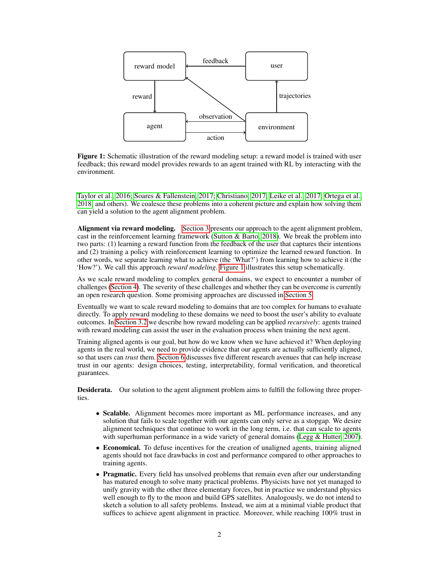<span id="page-1-0"></span>

Figure 1: Schematic illustration of the reward modeling setup: a reward model is trained with user feedback; this reward model provides rewards to an agent trained with RL by interacting with the environment.

[Taylor et al., 2016;](#page-28-1) [Soares & Fallenstein, 2017;](#page-28-2) [Christiano, 2017;](#page-22-0) [Leike et al., 2017;](#page-26-2) [Ortega et al.,](#page-27-1) [2018;](#page-27-1) and others). We coalesce these problems into a coherent picture and explain how solving them can yield a solution to the agent alignment problem.

Alignment via reward modeling. [Section 3](#page-4-0) presents our approach to the agent alignment problem, cast in the reinforcement learning framework [\(Sutton & Barto, 2018\)](#page-28-3). We break the problem into two parts: (1) learning a reward function from the feedback of the user that captures their intentions and (2) training a policy with reinforcement learning to optimize the learned reward function. In other words, we separate learning what to achieve (the 'What?') from learning how to achieve it (the 'How?'). We call this approach *reward modeling*. [Figure 1](#page-1-0) illustrates this setup schematically.

As we scale reward modeling to complex general domains, we expect to encounter a number of challenges [\(Section 4\)](#page-8-0). The severity of these challenges and whether they can be overcome is currently an open research question. Some promising approaches are discussed in [Section 5.](#page-11-0)

Eventually we want to scale reward modeling to domains that are too complex for humans to evaluate directly. To apply reward modeling to these domains we need to boost the user's ability to evaluate outcomes. In [Section 3.2](#page-6-0) we describe how reward modeling can be applied *recursively*: agents trained with reward modeling can assist the user in the evaluation process when training the next agent.

Training aligned agents is our goal, but how do we know when we have achieved it? When deploying agents in the real world, we need to provide evidence that our agents are actually sufficiently aligned, so that users can *trust* them. [Section 6](#page-14-0) discusses five different research avenues that can help increase trust in our agents: design choices, testing, interpretability, formal verification, and theoretical guarantees.

Desiderata. Our solution to the agent alignment problem aims to fulfill the following three properties.

- Scalable. Alignment becomes more important as ML performance increases, and any solution that fails to scale together with our agents can only serve as a stopgap. We desire alignment techniques that continue to work in the long term, i.e. that can scale to agents with superhuman performance in a wide variety of general domains [\(Legg & Hutter, 2007\)](#page-26-3).
- Economical. To defuse incentives for the creation of unaligned agents, training aligned agents should not face drawbacks in cost and performance compared to other approaches to training agents.
- **Pragmatic.** Every field has unsolved problems that remain even after our understanding has matured enough to solve many practical problems. Physicists have not yet managed to unify gravity with the other three elementary forces, but in practice we understand physics well enough to fly to the moon and build GPS satellites. Analogously, we do not intend to sketch a solution to all safety problems. Instead, we aim at a minimal viable product that suffices to achieve agent alignment in practice. Moreover, while reaching 100% trust in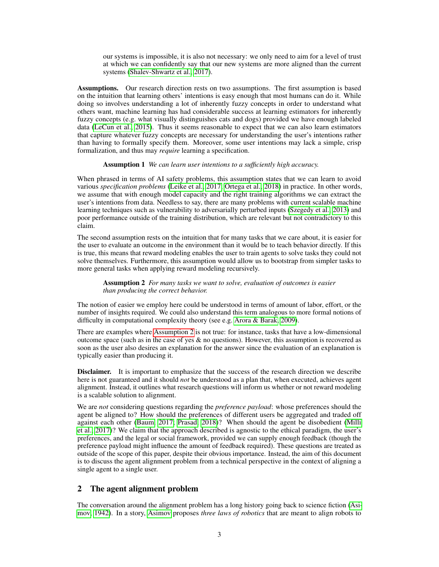our systems is impossible, it is also not necessary: we only need to aim for a level of trust at which we can confidently say that our new systems are more aligned than the current systems [\(Shalev-Shwartz et al., 2017\)](#page-28-4).

Assumptions. Our research direction rests on two assumptions. The first assumption is based on the intuition that learning others' intentions is easy enough that most humans can do it. While doing so involves understanding a lot of inherently fuzzy concepts in order to understand what others want, machine learning has had considerable success at learning estimators for inherently fuzzy concepts (e.g. what visually distinguishes cats and dogs) provided we have enough labeled data [\(LeCun et al., 2015\)](#page-26-4). Thus it seems reasonable to expect that we can also learn estimators that capture whatever fuzzy concepts are necessary for understanding the user's intentions rather than having to formally specify them. Moreover, some user intentions may lack a simple, crisp formalization, and thus may *require* learning a specification.

## Assumption 1 *We can learn user intentions to a sufficiently high accuracy.*

<span id="page-2-1"></span>When phrased in terms of AI safety problems, this assumption states that we can learn to avoid various *specification problems* [\(Leike et al., 2017;](#page-26-2) [Ortega et al., 2018\)](#page-27-1) in practice. In other words, we assume that with enough model capacity and the right training algorithms we can extract the user's intentions from data. Needless to say, there are many problems with current scalable machine learning techniques such as vulnerability to adversarially perturbed inputs [\(Szegedy et al., 2013\)](#page-28-5) and poor performance outside of the training distribution, which are relevant but not contradictory to this claim.

The second assumption rests on the intuition that for many tasks that we care about, it is easier for the user to evaluate an outcome in the environment than it would be to teach behavior directly. If this is true, this means that reward modeling enables the user to train agents to solve tasks they could not solve themselves. Furthermore, this assumption would allow us to bootstrap from simpler tasks to more general tasks when applying reward modeling recursively.

Assumption 2 *For many tasks we want to solve, evaluation of outcomes is easier than producing the correct behavior.*

<span id="page-2-0"></span>The notion of easier we employ here could be understood in terms of amount of labor, effort, or the number of insights required. We could also understand this term analogous to more formal notions of difficulty in computational complexity theory (see e.g. [Arora & Barak, 2009\)](#page-22-1).

There are examples where [Assumption 2](#page-2-0) is not true: for instance, tasks that have a low-dimensional outcome space (such as in the case of yes  $\&$  no questions). However, this assumption is recovered as soon as the user also desires an explanation for the answer since the evaluation of an explanation is typically easier than producing it.

**Disclaimer.** It is important to emphasize that the success of the research direction we describe here is not guaranteed and it should *not* be understood as a plan that, when executed, achieves agent alignment. Instead, it outlines what research questions will inform us whether or not reward modeling is a scalable solution to alignment.

We are *not* considering questions regarding the *preference payload*: whose preferences should the agent be aligned to? How should the preferences of different users be aggregated and traded off against each other [\(Baum, 2017;](#page-22-2) [Prasad, 2018\)](#page-27-2)? When should the agent be disobedient [\(Milli](#page-26-5) [et al., 2017\)](#page-26-5)? We claim that the approach described is agnostic to the ethical paradigm, the user's preferences, and the legal or social framework, provided we can supply enough feedback (though the preference payload might influence the amount of feedback required). These questions are treated as outside of the scope of this paper, despite their obvious importance. Instead, the aim of this document is to discuss the agent alignment problem from a technical perspective in the context of aligning a single agent to a single user.

# <span id="page-2-2"></span>2 The agent alignment problem

The conversation around the alignment problem has a long history going back to science fiction [\(Asi](#page-22-3)[mov, 1942\)](#page-22-3). In a story, [Asimov](#page-22-3) proposes *three laws of robotics* that are meant to align robots to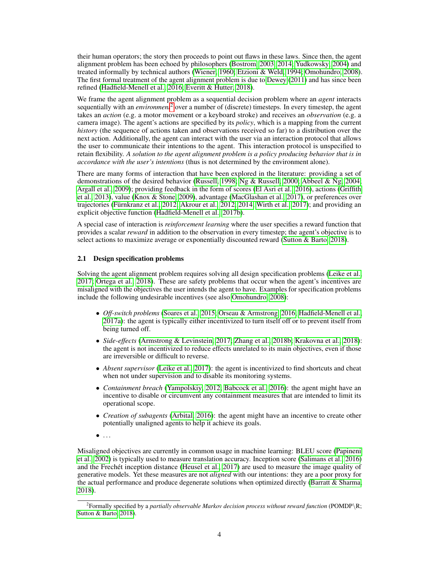their human operators; the story then proceeds to point out flaws in these laws. Since then, the agent alignment problem has been echoed by philosophers [\(Bostrom, 2003,](#page-22-4) [2014;](#page-22-5) [Yudkowsky, 2004\)](#page-29-0) and treated informally by technical authors [\(Wiener, 1960;](#page-29-1) [Etzioni & Weld, 1994;](#page-23-1) [Omohundro, 2008\)](#page-27-3). The first formal treatment of the agent alignment problem is due to [Dewey](#page-23-2) [\(2011\)](#page-23-2) and has since been refined [\(Hadfield-Menell et al., 2016;](#page-24-0) [Everitt & Hutter, 2018\)](#page-23-3).

We frame the agent alignment problem as a sequential decision problem where an *agent* interacts sequentially with an *environment*<sup>[2](#page-3-0)</sup> over a number of (discrete) timesteps. In every timestep, the agent takes an *action* (e.g. a motor movement or a keyboard stroke) and receives an *observation* (e.g. a camera image). The agent's actions are specified by its *policy*, which is a mapping from the current *history* (the sequence of actions taken and observations received so far) to a distribution over the next action. Additionally, the agent can interact with the user via an interaction protocol that allows the user to communicate their intentions to the agent. This interaction protocol is unspecified to retain flexibility. *A solution to the agent alignment problem is a policy producing behavior that is in accordance with the user's intentions* (thus is not determined by the environment alone).

There are many forms of interaction that have been explored in the literature: providing a set of demonstrations of the desired behavior [\(Russell, 1998;](#page-27-4) [Ng & Russell, 2000;](#page-27-5) [Abbeel & Ng, 2004;](#page-21-1) [Argall et al., 2009\)](#page-21-2); providing feedback in the form of scores [\(El Asri et al., 2016\)](#page-23-4), actions [\(Griffith](#page-24-1) [et al., 2013\)](#page-24-1), value [\(Knox & Stone, 2009\)](#page-25-0), advantage [\(MacGlashan et al., 2017\)](#page-26-6), or preferences over trajectories [\(Fürnkranz et al., 2012;](#page-23-5) [Akrour et al., 2012,](#page-21-3) [2014;](#page-21-4) [Wirth et al., 2017\)](#page-29-2); and providing an explicit objective function [\(Hadfield-Menell et al., 2017b\)](#page-24-2).

A special case of interaction is *reinforcement learning* where the user specifies a reward function that provides a scalar *reward* in addition to the observation in every timestep; the agent's objective is to select actions to maximize average or exponentially discounted reward [\(Sutton & Barto, 2018\)](#page-28-3).

#### 2.1 Design specification problems

Solving the agent alignment problem requires solving all design specification problems [\(Leike et al.,](#page-26-2) [2017;](#page-26-2) [Ortega et al., 2018\)](#page-27-1). These are safety problems that occur when the agent's incentives are misaligned with the objectives the user intends the agent to have. Examples for specification problems include the following undesirable incentives (see also [Omohundro, 2008\)](#page-27-3):

- *Off-switch problems* [\(Soares et al., 2015;](#page-28-6) [Orseau & Armstrong, 2016;](#page-27-6) [Hadfield-Menell et al.,](#page-24-3) [2017a\)](#page-24-3): the agent is typically either incentivized to turn itself off or to prevent itself from being turned off.
- *Side-effects* [\(Armstrong & Levinstein, 2017;](#page-21-5) [Zhang et al., 2018b;](#page-29-3) [Krakovna et al., 2018\)](#page-25-1): the agent is not incentivized to reduce effects unrelated to its main objectives, even if those are irreversible or difficult to reverse.
- *Absent supervisor* [\(Leike et al., 2017\)](#page-26-2): the agent is incentivized to find shortcuts and cheat when not under supervision and to disable its monitoring systems.
- *Containment breach* [\(Yampolskiy, 2012;](#page-29-4) [Babcock et al., 2016\)](#page-22-6): the agent might have an incentive to disable or circumvent any containment measures that are intended to limit its operational scope.
- *Creation of subagents* [\(Arbital, 2016\)](#page-21-6): the agent might have an incentive to create other potentially unaligned agents to help it achieve its goals.
- $\bullet$  ...

Misaligned objectives are currently in common usage in machine learning: BLEU score [\(Papineni](#page-27-7) [et al., 2002\)](#page-27-7) is typically used to measure translation accuracy. Inception score [\(Salimans et al., 2016\)](#page-27-8) and the Frechét inception distance [\(Heusel et al., 2017\)](#page-24-4) are used to measure the image quality of generative models. Yet these measures are not *aligned* with our intentions: they are a poor proxy for the actual performance and produce degenerate solutions when optimized directly [\(Barratt & Sharma,](#page-22-7) [2018\)](#page-22-7).

<span id="page-3-0"></span><sup>2</sup> Formally specified by a *partially observable Markov decision process without reward function* (POMDP\R; [Sutton & Barto, 2018\)](#page-28-3).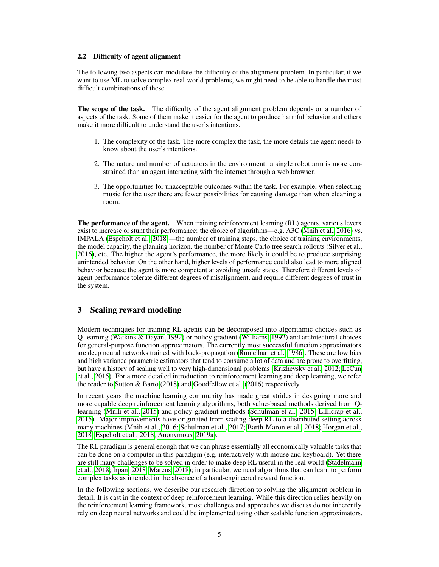#### 2.2 Difficulty of agent alignment

The following two aspects can modulate the difficulty of the alignment problem. In particular, if we want to use ML to solve complex real-world problems, we might need to be able to handle the most difficult combinations of these.

The scope of the task. The difficulty of the agent alignment problem depends on a number of aspects of the task. Some of them make it easier for the agent to produce harmful behavior and others make it more difficult to understand the user's intentions.

- 1. The complexity of the task. The more complex the task, the more details the agent needs to know about the user's intentions.
- 2. The nature and number of actuators in the environment. a single robot arm is more constrained than an agent interacting with the internet through a web browser.
- 3. The opportunities for unacceptable outcomes within the task. For example, when selecting music for the user there are fewer possibilities for causing damage than when cleaning a room.

**The performance of the agent.** When training reinforcement learning (RL) agents, various levers exist to increase or stunt their performance: the choice of algorithms—e.g. A3C [\(Mnih et al., 2016\)](#page-26-7) vs. IMPALA [\(Espeholt et al., 2018\)](#page-23-6)—the number of training steps, the choice of training environments, the model capacity, the planning horizon, the number of Monte Carlo tree search rollouts [\(Silver et al.,](#page-28-7) [2016\)](#page-28-7), etc. The higher the agent's performance, the more likely it could be to produce surprising unintended behavior. On the other hand, higher levels of performance could also lead to more aligned behavior because the agent is more competent at avoiding unsafe states. Therefore different levels of agent performance tolerate different degrees of misalignment, and require different degrees of trust in the system.

# <span id="page-4-0"></span>3 Scaling reward modeling

Modern techniques for training RL agents can be decomposed into algorithmic choices such as Q-learning [\(Watkins & Dayan, 1992\)](#page-29-5) or policy gradient [\(Williams, 1992\)](#page-29-6) and architectural choices for general-purpose function approximators. The currently most successful function approximators are deep neural networks trained with back-propagation [\(Rumelhart et al., 1986\)](#page-27-9). These are low bias and high variance parametric estimators that tend to consume a lot of data and are prone to overfitting, but have a history of scaling well to very high-dimensional problems [\(Krizhevsky et al., 2012;](#page-25-2) [LeCun](#page-26-4) [et al., 2015\)](#page-26-4). For a more detailed introduction to reinforcement learning and deep learning, we refer the reader to [Sutton & Barto](#page-28-3) [\(2018\)](#page-28-3) and [Goodfellow et al.](#page-24-5) [\(2016\)](#page-24-5) respectively.

In recent years the machine learning community has made great strides in designing more and more capable deep reinforcement learning algorithms, both value-based methods derived from Qlearning [\(Mnih et al., 2015\)](#page-26-8) and policy-gradient methods [\(Schulman et al., 2015;](#page-27-10) [Lillicrap et al.,](#page-26-9) [2015\)](#page-26-9). Major improvements have originated from scaling deep RL to a distributed setting across many machines [\(Mnih et al., 2016;](#page-26-7) [Schulman et al., 2017;](#page-27-11) [Barth-Maron et al., 2018;](#page-22-8) [Horgan et al.,](#page-25-3) [2018;](#page-25-3) [Espeholt et al., 2018;](#page-23-6) [Anonymous, 2019a\)](#page-21-7).

The RL paradigm is general enough that we can phrase essentially all economically valuable tasks that can be done on a computer in this paradigm (e.g. interactively with mouse and keyboard). Yet there are still many challenges to be solved in order to make deep RL useful in the real world [\(Stadelmann](#page-28-8) [et al., 2018;](#page-28-8) [Irpan, 2018;](#page-25-4) [Marcus, 2018\)](#page-26-10); in particular, we need algorithms that can learn to perform complex tasks as intended in the absence of a hand-engineered reward function.

In the following sections, we describe our research direction to solving the alignment problem in detail. It is cast in the context of deep reinforcement learning. While this direction relies heavily on the reinforcement learning framework, most challenges and approaches we discuss do not inherently rely on deep neural networks and could be implemented using other scalable function approximators.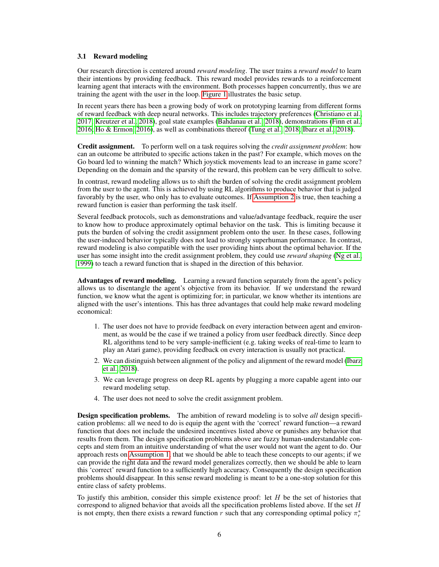#### <span id="page-5-0"></span>3.1 Reward modeling

Our research direction is centered around *reward modeling*. The user trains a *reward model* to learn their intentions by providing feedback. This reward model provides rewards to a reinforcement learning agent that interacts with the environment. Both processes happen concurrently, thus we are training the agent with the user in the loop. [Figure 1](#page-1-0) illustrates the basic setup.

In recent years there has been a growing body of work on prototyping learning from different forms of reward feedback with deep neural networks. This includes trajectory preferences [\(Christiano et al.,](#page-23-7) [2017;](#page-23-7) [Kreutzer et al., 2018\)](#page-25-5), goal state examples [\(Bahdanau et al., 2018\)](#page-22-9), demonstrations [\(Finn et al.,](#page-23-8) [2016;](#page-23-8) [Ho & Ermon, 2016\)](#page-25-6), as well as combinations thereof [\(Tung et al., 2018;](#page-28-9) [Ibarz et al., 2018\)](#page-25-7).

Credit assignment. To perform well on a task requires solving the *credit assignment problem*: how can an outcome be attributed to specific actions taken in the past? For example, which moves on the Go board led to winning the match? Which joystick movements lead to an increase in game score? Depending on the domain and the sparsity of the reward, this problem can be very difficult to solve.

In contrast, reward modeling allows us to shift the burden of solving the credit assignment problem from the user to the agent. This is achieved by using RL algorithms to produce behavior that is judged favorably by the user, who only has to evaluate outcomes. If [Assumption 2](#page-2-0) is true, then teaching a reward function is easier than performing the task itself.

Several feedback protocols, such as demonstrations and value/advantage feedback, require the user to know how to produce approximately optimal behavior on the task. This is limiting because it puts the burden of solving the credit assignment problem onto the user. In these cases, following the user-induced behavior typically does not lead to strongly superhuman performance. In contrast, reward modeling is also compatible with the user providing hints about the optimal behavior. If the user has some insight into the credit assignment problem, they could use *reward shaping* [\(Ng et al.,](#page-27-12) [1999\)](#page-27-12) to teach a reward function that is shaped in the direction of this behavior.

Advantages of reward modeling. Learning a reward function separately from the agent's policy allows us to disentangle the agent's objective from its behavior. If we understand the reward function, we know what the agent is optimizing for; in particular, we know whether its intentions are aligned with the user's intentions. This has three advantages that could help make reward modeling economical:

- 1. The user does not have to provide feedback on every interaction between agent and environment, as would be the case if we trained a policy from user feedback directly. Since deep RL algorithms tend to be very sample-inefficient (e.g. taking weeks of real-time to learn to play an Atari game), providing feedback on every interaction is usually not practical.
- 2. We can distinguish between alignment of the policy and alignment of the reward model [\(Ibarz](#page-25-7) [et al., 2018\)](#page-25-7).
- 3. We can leverage progress on deep RL agents by plugging a more capable agent into our reward modeling setup.
- 4. The user does not need to solve the credit assignment problem.

Design specification problems. The ambition of reward modeling is to solve *all* design specification problems: all we need to do is equip the agent with the 'correct' reward function—a reward function that does not include the undesired incentives listed above or punishes any behavior that results from them. The design specification problems above are fuzzy human-understandable concepts and stem from an intuitive understanding of what the user would not want the agent to do. Our approach rests on [Assumption 1,](#page-2-1) that we should be able to teach these concepts to our agents; if we can provide the right data and the reward model generalizes correctly, then we should be able to learn this 'correct' reward function to a sufficiently high accuracy. Consequently the design specification problems should disappear. In this sense reward modeling is meant to be a one-stop solution for this entire class of safety problems.

To justify this ambition, consider this simple existence proof: let  $H$  be the set of histories that correspond to aligned behavior that avoids all the specification problems listed above. If the set  $H$ is not empty, then there exists a reward function r such that any corresponding optimal policy  $\pi_r^*$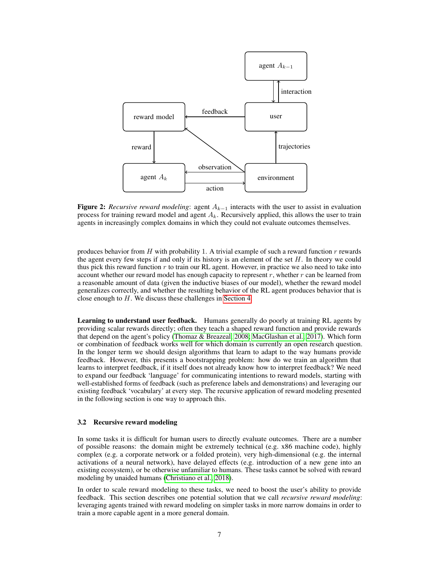<span id="page-6-1"></span>

**Figure 2:** *Recursive reward modeling*: agent  $A_{k-1}$  interacts with the user to assist in evaluation process for training reward model and agent  $A_k$ . Recursively applied, this allows the user to train agents in increasingly complex domains in which they could not evaluate outcomes themselves.

produces behavior from  $H$  with probability 1. A trivial example of such a reward function  $r$  rewards the agent every few steps if and only if its history is an element of the set  $H$ . In theory we could thus pick this reward function  $r$  to train our RL agent. However, in practice we also need to take into account whether our reward model has enough capacity to represent  $r$ , whether  $r$  can be learned from a reasonable amount of data (given the inductive biases of our model), whether the reward model generalizes correctly, and whether the resulting behavior of the RL agent produces behavior that is close enough to H. We discuss these challenges in [Section 4.](#page-8-0)

Learning to understand user feedback. Humans generally do poorly at training RL agents by providing scalar rewards directly; often they teach a shaped reward function and provide rewards that depend on the agent's policy [\(Thomaz & Breazeal, 2008;](#page-28-10) [MacGlashan et al., 2017\)](#page-26-6). Which form or combination of feedback works well for which domain is currently an open research question. In the longer term we should design algorithms that learn to adapt to the way humans provide feedback. However, this presents a bootstrapping problem: how do we train an algorithm that learns to interpret feedback, if it itself does not already know how to interpret feedback? We need to expand our feedback 'language' for communicating intentions to reward models, starting with well-established forms of feedback (such as preference labels and demonstrations) and leveraging our existing feedback 'vocabulary' at every step. The recursive application of reward modeling presented in the following section is one way to approach this.

#### <span id="page-6-0"></span>3.2 Recursive reward modeling

In some tasks it is difficult for human users to directly evaluate outcomes. There are a number of possible reasons: the domain might be extremely technical (e.g. x86 machine code), highly complex (e.g. a corporate network or a folded protein), very high-dimensional (e.g. the internal activations of a neural network), have delayed effects (e.g. introduction of a new gene into an existing ecosystem), or be otherwise unfamiliar to humans. These tasks cannot be solved with reward modeling by unaided humans [\(Christiano et al., 2018\)](#page-23-9).

In order to scale reward modeling to these tasks, we need to boost the user's ability to provide feedback. This section describes one potential solution that we call *recursive reward modeling*: leveraging agents trained with reward modeling on simpler tasks in more narrow domains in order to train a more capable agent in a more general domain.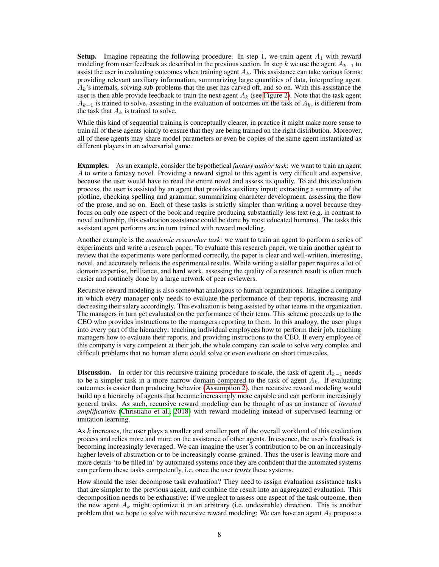**Setup.** Imagine repeating the following procedure. In step 1, we train agent  $A_1$  with reward modeling from user feedback as described in the previous section. In step k we use the agent  $A_{k-1}$  to assist the user in evaluating outcomes when training agent  $A_k$ . This assistance can take various forms: providing relevant auxiliary information, summarizing large quantities of data, interpreting agent  $A_k$ 's internals, solving sub-problems that the user has carved off, and so on. With this assistance the user is then able provide feedback to train the next agent  $A_k$  (see [Figure 2\)](#page-6-1). Note that the task agent  $A_{k-1}$  is trained to solve, assisting in the evaluation of outcomes on the task of  $A_k$ , is different from the task that  $A_k$  is trained to solve.

While this kind of sequential training is conceptually clearer, in practice it might make more sense to train all of these agents jointly to ensure that they are being trained on the right distribution. Moreover, all of these agents may share model parameters or even be copies of the same agent instantiated as different players in an adversarial game.

Examples. As an example, consider the hypothetical *fantasy author task*: we want to train an agent A to write a fantasy novel. Providing a reward signal to this agent is very difficult and expensive, because the user would have to read the entire novel and assess its quality. To aid this evaluation process, the user is assisted by an agent that provides auxiliary input: extracting a summary of the plotline, checking spelling and grammar, summarizing character development, assessing the flow of the prose, and so on. Each of these tasks is strictly simpler than writing a novel because they focus on only one aspect of the book and require producing substantially less text (e.g. in contrast to novel authorship, this evaluation assistance could be done by most educated humans). The tasks this assistant agent performs are in turn trained with reward modeling.

Another example is the *academic researcher task*: we want to train an agent to perform a series of experiments and write a research paper. To evaluate this research paper, we train another agent to review that the experiments were performed correctly, the paper is clear and well-written, interesting, novel, and accurately reflects the experimental results. While writing a stellar paper requires a lot of domain expertise, brilliance, and hard work, assessing the quality of a research result is often much easier and routinely done by a large network of peer reviewers.

Recursive reward modeling is also somewhat analogous to human organizations. Imagine a company in which every manager only needs to evaluate the performance of their reports, increasing and decreasing their salary accordingly. This evaluation is being assisted by other teams in the organization. The managers in turn get evaluated on the performance of their team. This scheme proceeds up to the CEO who provides instructions to the managers reporting to them. In this analogy, the user plugs into every part of the hierarchy: teaching individual employees how to perform their job, teaching managers how to evaluate their reports, and providing instructions to the CEO. If every employee of this company is very competent at their job, the whole company can scale to solve very complex and difficult problems that no human alone could solve or even evaluate on short timescales.

**Discussion.** In order for this recursive training procedure to scale, the task of agent  $A_{k-1}$  needs to be a simpler task in a more narrow domain compared to the task of agent  $A_k$ . If evaluating outcomes is easier than producing behavior [\(Assumption 2\)](#page-2-0), then recursive reward modeling would build up a hierarchy of agents that become increasingly more capable and can perform increasingly general tasks. As such, recursive reward modeling can be thought of as an instance of *iterated amplification* [\(Christiano et al., 2018\)](#page-23-9) with reward modeling instead of supervised learning or imitation learning.

As k increases, the user plays a smaller and smaller part of the overall workload of this evaluation process and relies more and more on the assistance of other agents. In essence, the user's feedback is becoming increasingly leveraged. We can imagine the user's contribution to be on an increasingly higher levels of abstraction or to be increasingly coarse-grained. Thus the user is leaving more and more details 'to be filled in' by automated systems once they are confident that the automated systems can perform these tasks competently, i.e. once the user *trusts* these systems.

How should the user decompose task evaluation? They need to assign evaluation assistance tasks that are simpler to the previous agent, and combine the result into an aggregated evaluation. This decomposition needs to be exhaustive: if we neglect to assess one aspect of the task outcome, then the new agent  $A_k$  might optimize it in an arbitrary (i.e. undesirable) direction. This is another problem that we hope to solve with recursive reward modeling: We can have an agent  $A_2$  propose a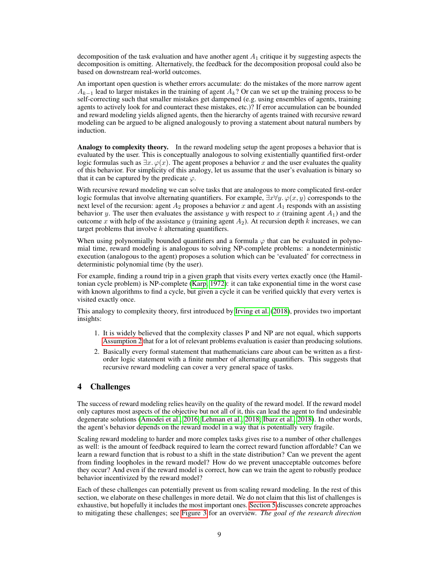decomposition of the task evaluation and have another agent  $A_1$  critique it by suggesting aspects the decomposition is omitting. Alternatively, the feedback for the decomposition proposal could also be based on downstream real-world outcomes.

An important open question is whether errors accumulate: do the mistakes of the more narrow agent  $A_{k-1}$  lead to larger mistakes in the training of agent  $A_k$ ? Or can we set up the training process to be self-correcting such that smaller mistakes get dampened (e.g. using ensembles of agents, training agents to actively look for and counteract these mistakes, etc.)? If error accumulation can be bounded and reward modeling yields aligned agents, then the hierarchy of agents trained with recursive reward modeling can be argued to be aligned analogously to proving a statement about natural numbers by induction.

Analogy to complexity theory. In the reward modeling setup the agent proposes a behavior that is evaluated by the user. This is conceptually analogous to solving existentially quantified first-order logic formulas such as  $\exists x \cdot \varphi(x)$ . The agent proposes a behavior x and the user evaluates the quality of this behavior. For simplicity of this analogy, let us assume that the user's evaluation is binary so that it can be captured by the predicate  $\varphi$ .

With recursive reward modeling we can solve tasks that are analogous to more complicated first-order logic formulas that involve alternating quantifiers. For example,  $\exists x \forall y \ldots \varphi(x, y)$  corresponds to the next level of the recursion: agent  $A_2$  proposes a behavior x and agent  $A_1$  responds with an assisting behavior y. The user then evaluates the assistance y with respect to x (training agent  $A_1$ ) and the outcome x with help of the assistance y (training agent  $A_2$ ). At recursion depth k increases, we can target problems that involve  $k$  alternating quantifiers.

When using polynomially bounded quantifiers and a formula  $\varphi$  that can be evaluated in polynomial time, reward modeling is analogous to solving NP-complete problems: a nondeterministic execution (analogous to the agent) proposes a solution which can be 'evaluated' for correctness in deterministic polynomial time (by the user).

For example, finding a round trip in a given graph that visits every vertex exactly once (the Hamiltonian cycle problem) is NP-complete [\(Karp, 1972\)](#page-25-8): it can take exponential time in the worst case with known algorithms to find a cycle, but given a cycle it can be verified quickly that every vertex is visited exactly once.

This analogy to complexity theory, first introduced by [Irving et al.](#page-25-9) [\(2018\)](#page-25-9), provides two important insights:

- 1. It is widely believed that the complexity classes P and NP are not equal, which supports [Assumption 2](#page-2-0) that for a lot of relevant problems evaluation is easier than producing solutions.
- 2. Basically every formal statement that mathematicians care about can be written as a firstorder logic statement with a finite number of alternating quantifiers. This suggests that recursive reward modeling can cover a very general space of tasks.

# <span id="page-8-0"></span>4 Challenges

The success of reward modeling relies heavily on the quality of the reward model. If the reward model only captures most aspects of the objective but not all of it, this can lead the agent to find undesirable degenerate solutions [\(Amodei et al., 2016;](#page-21-0) [Lehman et al., 2018;](#page-26-1) [Ibarz et al., 2018\)](#page-25-7). In other words, the agent's behavior depends on the reward model in a way that is potentially very fragile.

Scaling reward modeling to harder and more complex tasks gives rise to a number of other challenges as well: is the amount of feedback required to learn the correct reward function affordable? Can we learn a reward function that is robust to a shift in the state distribution? Can we prevent the agent from finding loopholes in the reward model? How do we prevent unacceptable outcomes before they occur? And even if the reward model is correct, how can we train the agent to robustly produce behavior incentivized by the reward model?

Each of these challenges can potentially prevent us from scaling reward modeling. In the rest of this section, we elaborate on these challenges in more detail. We do not claim that this list of challenges is exhaustive, but hopefully it includes the most important ones. [Section 5](#page-11-0) discusses concrete approaches to mitigating these challenges; see [Figure 3](#page-9-0) for an overview. *The goal of the research direction*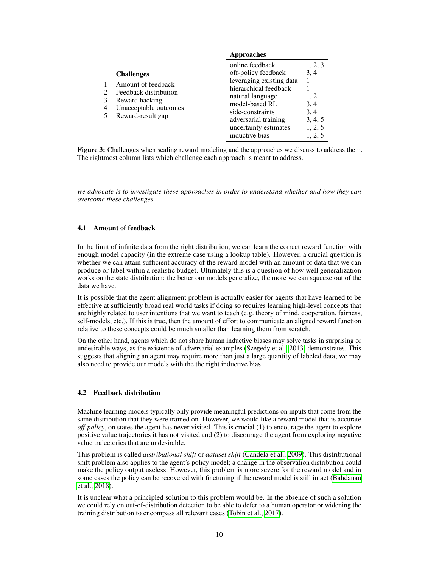<span id="page-9-0"></span>

|   |                                                                                                             | <b>Approaches</b>        |         |
|---|-------------------------------------------------------------------------------------------------------------|--------------------------|---------|
|   |                                                                                                             | online feedback          | 1, 2, 3 |
|   | <b>Challenges</b>                                                                                           | off-policy feedback      | 3, 4    |
|   | Amount of feedback<br>Feedback distribution<br>Reward hacking<br>Unacceptable outcomes<br>Reward-result gap | leveraging existing data |         |
|   |                                                                                                             | hierarchical feedback    |         |
|   |                                                                                                             | natural language         | 1, 2    |
| 4 |                                                                                                             | model-based RL           | 3, 4    |
|   |                                                                                                             | side-constraints         | 3, 4    |
|   |                                                                                                             | adversarial training     | 3, 4, 5 |
|   |                                                                                                             | uncertainty estimates    | 1, 2, 5 |
|   |                                                                                                             | inductive bias           | 1, 2, 5 |

Figure 3: Challenges when scaling reward modeling and the approaches we discuss to address them. The rightmost column lists which challenge each approach is meant to address.

*we advocate is to investigate these approaches in order to understand whether and how they can overcome these challenges.*

#### 4.1 Amount of feedback

In the limit of infinite data from the right distribution, we can learn the correct reward function with enough model capacity (in the extreme case using a lookup table). However, a crucial question is whether we can attain sufficient accuracy of the reward model with an amount of data that we can produce or label within a realistic budget. Ultimately this is a question of how well generalization works on the state distribution: the better our models generalize, the more we can squeeze out of the data we have.

It is possible that the agent alignment problem is actually easier for agents that have learned to be effective at sufficiently broad real world tasks if doing so requires learning high-level concepts that are highly related to user intentions that we want to teach (e.g. theory of mind, cooperation, fairness, self-models, etc.). If this is true, then the amount of effort to communicate an aligned reward function relative to these concepts could be much smaller than learning them from scratch.

On the other hand, agents which do not share human inductive biases may solve tasks in surprising or undesirable ways, as the existence of adversarial examples [\(Szegedy et al., 2013\)](#page-28-5) demonstrates. This suggests that aligning an agent may require more than just a large quantity of labeled data; we may also need to provide our models with the the right inductive bias.

#### <span id="page-9-1"></span>4.2 Feedback distribution

Machine learning models typically only provide meaningful predictions on inputs that come from the same distribution that they were trained on. However, we would like a reward model that is accurate *off-policy*, on states the agent has never visited. This is crucial (1) to encourage the agent to explore positive value trajectories it has not visited and (2) to discourage the agent from exploring negative value trajectories that are undesirable.

This problem is called *distributional shift* or *dataset shift* [\(Candela et al., 2009\)](#page-22-10). This distributional shift problem also applies to the agent's policy model; a change in the observation distribution could make the policy output useless. However, this problem is more severe for the reward model and in some cases the policy can be recovered with finetuning if the reward model is still intact [\(Bahdanau](#page-22-9) [et al., 2018\)](#page-22-9).

It is unclear what a principled solution to this problem would be. In the absence of such a solution we could rely on out-of-distribution detection to be able to defer to a human operator or widening the training distribution to encompass all relevant cases [\(Tobin et al., 2017\)](#page-28-11).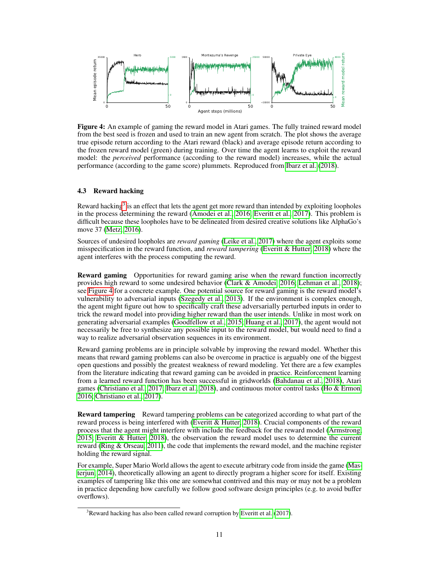<span id="page-10-1"></span>

Figure 4: An example of gaming the reward model in Atari games. The fully trained reward model from the best seed is frozen and used to train an new agent from scratch. The plot shows the average true episode return according to the Atari reward (black) and average episode return according to the frozen reward model (green) during training. Over time the agent learns to exploit the reward model: the *perceived* performance (according to the reward model) increases, while the actual performance (according to the game score) plummets. Reproduced from [Ibarz et al.](#page-25-7) [\(2018\)](#page-25-7).

#### <span id="page-10-2"></span>4.3 Reward hacking

Reward hacking<sup>[3](#page-10-0)</sup> is an effect that lets the agent get more reward than intended by exploiting loopholes in the process determining the reward [\(Amodei et al., 2016;](#page-21-0) [Everitt et al., 2017\)](#page-23-10). This problem is difficult because these loopholes have to be delineated from desired creative solutions like AlphaGo's move 37 [\(Metz, 2016\)](#page-26-0).

Sources of undesired loopholes are *reward gaming* [\(Leike et al., 2017\)](#page-26-2) where the agent exploits some misspecification in the reward function, and *reward tampering* [\(Everitt & Hutter, 2018\)](#page-23-3) where the agent interferes with the process computing the reward.

Reward gaming Opportunities for reward gaming arise when the reward function incorrectly provides high reward to some undesired behavior [\(Clark & Amodei, 2016;](#page-23-0) [Lehman et al., 2018\)](#page-26-1); see [Figure 4](#page-10-1) for a concrete example. One potential source for reward gaming is the reward model's vulnerability to adversarial inputs [\(Szegedy et al., 2013\)](#page-28-5). If the environment is complex enough, the agent might figure out how to specifically craft these adversarially perturbed inputs in order to trick the reward model into providing higher reward than the user intends. Unlike in most work on generating adversarial examples [\(Goodfellow et al., 2015;](#page-24-6) [Huang et al., 2017\)](#page-25-10), the agent would not necessarily be free to synthesize any possible input to the reward model, but would need to find a way to realize adversarial observation sequences in its environment.

Reward gaming problems are in principle solvable by improving the reward model. Whether this means that reward gaming problems can also be overcome in practice is arguably one of the biggest open questions and possibly the greatest weakness of reward modeling. Yet there are a few examples from the literature indicating that reward gaming can be avoided in practice. Reinforcement learning from a learned reward function has been successful in gridworlds [\(Bahdanau et al., 2018\)](#page-22-9), Atari games [\(Christiano et al., 2017;](#page-23-7) [Ibarz et al., 2018\)](#page-25-7), and continuous motor control tasks [\(Ho & Ermon,](#page-25-6) [2016;](#page-25-6) [Christiano et al., 2017\)](#page-23-7).

Reward tampering Reward tampering problems can be categorized according to what part of the reward process is being interfered with [\(Everitt & Hutter, 2018\)](#page-23-3). Crucial components of the reward process that the agent might interfere with include the feedback for the reward model [\(Armstrong,](#page-21-8) [2015;](#page-21-8) [Everitt & Hutter, 2018\)](#page-23-3), the observation the reward model uses to determine the current reward [\(Ring & Orseau, 2011\)](#page-27-13), the code that implements the reward model, and the machine register holding the reward signal.

For example, Super Mario World allows the agent to execute arbitrary code from inside the game [\(Mas](#page-26-11)[terjun, 2014\)](#page-26-11), theoretically allowing an agent to directly program a higher score for itself. Existing examples of tampering like this one are somewhat contrived and this may or may not be a problem in practice depending how carefully we follow good software design principles (e.g. to avoid buffer overflows).

<span id="page-10-0"></span> $3$ Reward hacking has also been called reward corruption by [Everitt et al.](#page-23-10) [\(2017\)](#page-23-10).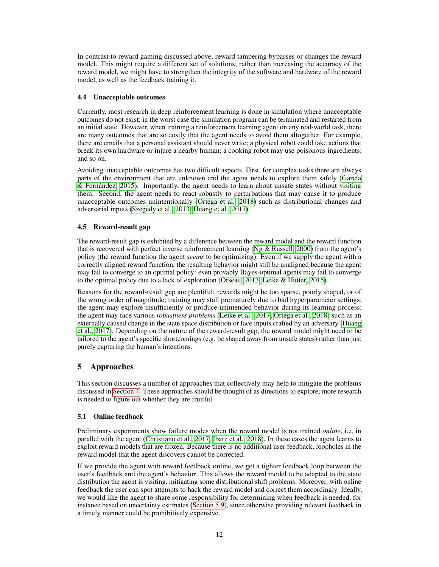In contrast to reward gaming discussed above, reward tampering bypasses or changes the reward model. This might require a different set of solutions; rather than increasing the accuracy of the reward model, we might have to strengthen the integrity of the software and hardware of the reward model, as well as the feedback training it.

# <span id="page-11-1"></span>4.4 Unacceptable outcomes

Currently, most research in deep reinforcement learning is done in simulation where unacceptable outcomes do not exist; in the worst case the simulation program can be terminated and restarted from an initial state. However, when training a reinforcement learning agent on any real-world task, there are many outcomes that are so costly that the agent needs to avoid them altogether. For example, there are emails that a personal assistant should never write; a physical robot could take actions that break its own hardware or injure a nearby human; a cooking robot may use poisonous ingredients; and so on.

Avoiding unacceptable outcomes has two difficult aspects. First, for complex tasks there are always parts of the environment that are unknown and the agent needs to explore them safely [\(García](#page-24-7) [& Fernández, 2015\)](#page-24-7). Importantly, the agent needs to learn about unsafe states without visiting them. Second, the agent needs to react robustly to perturbations that may cause it to produce unacceptable outcomes unintentionally [\(Ortega et al., 2018\)](#page-27-1) such as distributional changes and adversarial inputs [\(Szegedy et al., 2013;](#page-28-5) [Huang et al., 2017\)](#page-25-10).

# 4.5 Reward-result gap

The reward-result gap is exhibited by a difference between the reward model and the reward function that is recovered with perfect inverse reinforcement learning (Ng  $\&$  Russell, 2000) from the agent's policy (the reward function the agent *seems* to be optimizing). Even if we supply the agent with a correctly aligned reward function, the resulting behavior might still be unaligned because the agent may fail to converge to an optimal policy: even provably Bayes-optimal agents may fail to converge to the optimal policy due to a lack of exploration [\(Orseau, 2013;](#page-27-14) [Leike & Hutter, 2015\)](#page-26-12).

Reasons for the reward-result gap are plentiful: rewards might be too sparse, poorly shaped, or of the wrong order of magnitude; training may stall prematurely due to bad hyperparameter settings; the agent may explore insufficiently or produce unintended behavior during its learning process; the agent may face various *robustness problems* [\(Leike et al., 2017;](#page-26-2) [Ortega et al., 2018\)](#page-27-1) such as an externally caused change in the state space distribution or face inputs crafted by an adversary [\(Huang](#page-25-10) [et al., 2017\)](#page-25-10). Depending on the nature of the reward-result gap, the reward model might need to be tailored to the agent's specific shortcomings (e.g. be shaped away from unsafe states) rather than just purely capturing the human's intentions.

# <span id="page-11-0"></span>5 Approaches

This section discusses a number of approaches that collectively may help to mitigate the problems discussed in [Section 4.](#page-8-0) These approaches should be thought of as directions to explore; more research is needed to figure out whether they are fruitful.

# <span id="page-11-2"></span>5.1 Online feedback

Preliminary experiments show failure modes when the reward model is not trained *online*, i.e. in parallel with the agent [\(Christiano et al., 2017;](#page-23-7) [Ibarz et al., 2018\)](#page-25-7). In these cases the agent learns to exploit reward models that are frozen. Because there is no additional user feedback, loopholes in the reward model that the agent discovers cannot be corrected.

If we provide the agent with reward feedback online, we get a tighter feedback loop between the user's feedback and the agent's behavior. This allows the reward model to be adapted to the state distribution the agent is visiting, mitigating some distributional shift problems. Moreover, with online feedback the user can spot attempts to hack the reward model and correct them accordingly. Ideally, we would like the agent to share some responsibility for determining when feedback is needed, for instance based on uncertainty estimates [\(Section 5.9\)](#page-14-1), since otherwise providing relevant feedback in a timely manner could be prohibitively expensive.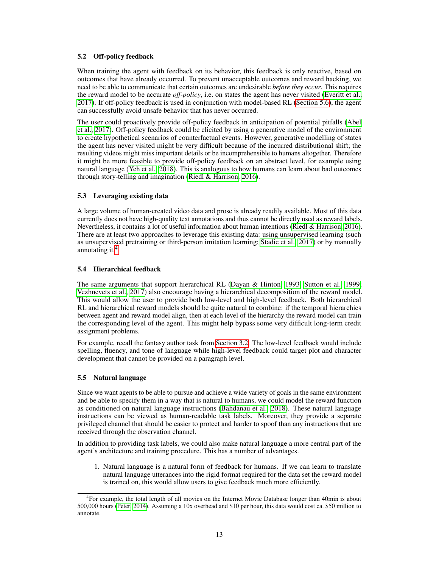# <span id="page-12-1"></span>5.2 Off-policy feedback

When training the agent with feedback on its behavior, this feedback is only reactive, based on outcomes that have already occurred. To prevent unacceptable outcomes and reward hacking, we need to be able to communicate that certain outcomes are undesirable *before they occur*. This requires the reward model to be accurate *off-policy*, i.e. on states the agent has never visited [\(Everitt et al.,](#page-23-10) [2017\)](#page-23-10). If off-policy feedback is used in conjunction with model-based RL [\(Section 5.6\)](#page-13-0), the agent can successfully avoid unsafe behavior that has never occurred.

The user could proactively provide off-policy feedback in anticipation of potential pitfalls [\(Abel](#page-21-9) [et al., 2017\)](#page-21-9). Off-policy feedback could be elicited by using a generative model of the environment to create hypothetical scenarios of counterfactual events. However, generative modelling of states the agent has never visited might be very difficult because of the incurred distributional shift; the resulting videos might miss important details or be incomprehensible to humans altogether. Therefore it might be more feasible to provide off-policy feedback on an abstract level, for example using natural language [\(Yeh et al., 2018\)](#page-29-7). This is analogous to how humans can learn about bad outcomes through story-telling and imagination [\(Riedl & Harrison, 2016\)](#page-27-15).

# 5.3 Leveraging existing data

A large volume of human-created video data and prose is already readily available. Most of this data currently does not have high-quality text annotations and thus cannot be directly used as reward labels. Nevertheless, it contains a lot of useful information about human intentions [\(Riedl & Harrison, 2016\)](#page-27-15). There are at least two approaches to leverage this existing data: using unsupervised learning (such as unsupervised pretraining or third-person imitation learning; [Stadie et al., 2017\)](#page-28-12) or by manually annotating it. $4$ 

# 5.4 Hierarchical feedback

The same arguments that support hierarchical RL [\(Dayan & Hinton, 1993;](#page-23-11) [Sutton et al., 1999;](#page-28-13) [Vezhnevets et al., 2017\)](#page-29-8) also encourage having a hierarchical decomposition of the reward model. This would allow the user to provide both low-level and high-level feedback. Both hierarchical RL and hierarchical reward models should be quite natural to combine: if the temporal hierarchies between agent and reward model align, then at each level of the hierarchy the reward model can train the corresponding level of the agent. This might help bypass some very difficult long-term credit assignment problems.

For example, recall the fantasy author task from [Section 3.2.](#page-6-0) The low-level feedback would include spelling, fluency, and tone of language while high-level feedback could target plot and character development that cannot be provided on a paragraph level.

# 5.5 Natural language

Since we want agents to be able to pursue and achieve a wide variety of goals in the same environment and be able to specify them in a way that is natural to humans, we could model the reward function as conditioned on natural language instructions [\(Bahdanau et al., 2018\)](#page-22-9). These natural language instructions can be viewed as human-readable task labels. Moreover, they provide a separate privileged channel that should be easier to protect and harder to spoof than any instructions that are received through the observation channel.

In addition to providing task labels, we could also make natural language a more central part of the agent's architecture and training procedure. This has a number of advantages.

1. Natural language is a natural form of feedback for humans. If we can learn to translate natural language utterances into the rigid format required for the data set the reward model is trained on, this would allow users to give feedback much more efficiently.

<span id="page-12-0"></span><sup>4</sup> For example, the total length of all movies on the Internet Movie Database longer than 40min is about 500,000 hours [\(Peter, 2014\)](#page-27-16). Assuming a 10x overhead and \$10 per hour, this data would cost ca. \$50 million to annotate.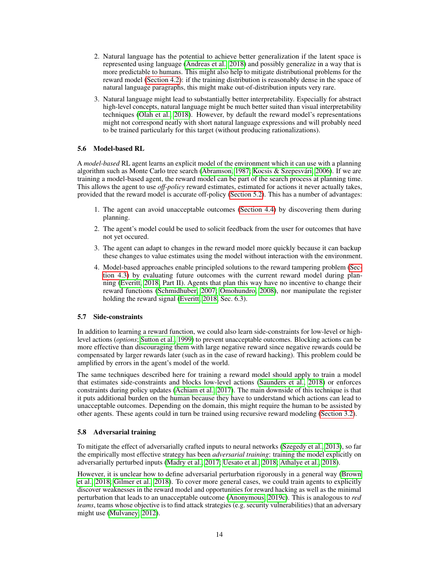- 2. Natural language has the potential to achieve better generalization if the latent space is represented using language [\(Andreas et al., 2018\)](#page-21-10) and possibly generalize in a way that is more predictable to humans. This might also help to mitigate distributional problems for the reward model [\(Section 4.2\)](#page-9-1): if the training distribution is reasonably dense in the space of natural language paragraphs, this might make out-of-distribution inputs very rare.
- 3. Natural language might lead to substantially better interpretability. Especially for abstract high-level concepts, natural language might be much better suited than visual interpretability techniques [\(Olah et al., 2018\)](#page-27-17). However, by default the reward model's representations might not correspond neatly with short natural language expressions and will probably need to be trained particularly for this target (without producing rationalizations).

## <span id="page-13-0"></span>5.6 Model-based RL

A *model-based* RL agent learns an explicit model of the environment which it can use with a planning algorithm such as Monte Carlo tree search [\(Abramson, 1987;](#page-21-11) [Kocsis & Szepesvári, 2006\)](#page-25-11). If we are training a model-based agent, the reward model can be part of the search process at planning time. This allows the agent to use *off-policy* reward estimates, estimated for actions it never actually takes, provided that the reward model is accurate off-policy [\(Section 5.2\)](#page-12-1). This has a number of advantages:

- 1. The agent can avoid unacceptable outcomes [\(Section 4.4\)](#page-11-1) by discovering them during planning.
- 2. The agent's model could be used to solicit feedback from the user for outcomes that have not yet occured.
- 3. The agent can adapt to changes in the reward model more quickly because it can backup these changes to value estimates using the model without interaction with the environment.
- 4. Model-based approaches enable principled solutions to the reward tampering problem [\(Sec](#page-10-2)[tion 4.3\)](#page-10-2) by evaluating future outcomes with the current reward model during planning [\(Everitt, 2018,](#page-23-12) Part II). Agents that plan this way have no incentive to change their reward functions [\(Schmidhuber, 2007;](#page-27-18) [Omohundro, 2008\)](#page-27-3), nor manipulate the register holding the reward signal [\(Everitt, 2018,](#page-23-12) Sec. 6.3).

## 5.7 Side-constraints

In addition to learning a reward function, we could also learn side-constraints for low-level or highlevel actions (*options*; [Sutton et al., 1999\)](#page-28-13) to prevent unacceptable outcomes. Blocking actions can be more effective than discouraging them with large negative reward since negative rewards could be compensated by larger rewards later (such as in the case of reward hacking). This problem could be amplified by errors in the agent's model of the world.

The same techniques described here for training a reward model should apply to train a model that estimates side-constraints and blocks low-level actions [\(Saunders et al., 2018\)](#page-27-19) or enforces constraints during policy updates [\(Achiam et al., 2017\)](#page-21-12). The main downside of this technique is that it puts additional burden on the human because they have to understand which actions can lead to unacceptable outcomes. Depending on the domain, this might require the human to be assisted by other agents. These agents could in turn be trained using recursive reward modeling [\(Section 3.2\)](#page-6-0).

## 5.8 Adversarial training

To mitigate the effect of adversarially crafted inputs to neural networks [\(Szegedy et al., 2013\)](#page-28-5), so far the empirically most effective strategy has been *adversarial training*: training the model explicitly on adversarially perturbed inputs [\(Madry et al., 2017;](#page-26-13) [Uesato et al., 2018;](#page-28-14) [Athalye et al., 2018\)](#page-22-11).

However, it is unclear how to define adversarial perturbation rigorously in a general way [\(Brown](#page-22-12) [et al., 2018;](#page-22-12) [Gilmer et al., 2018\)](#page-24-8). To cover more general cases, we could train agents to explicitly discover weaknesses in the reward model and opportunities for reward hacking as well as the minimal perturbation that leads to an unacceptable outcome [\(Anonymous, 2019c\)](#page-21-13). This is analogous to *red teams*, teams whose objective is to find attack strategies (e.g. security vulnerabilities) that an adversary might use [\(Mulvaney, 2012\)](#page-26-14).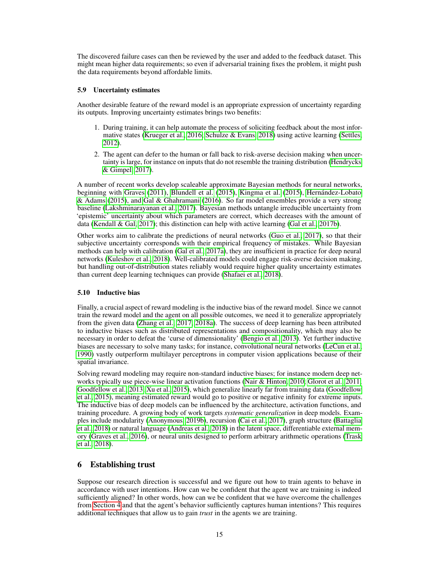The discovered failure cases can then be reviewed by the user and added to the feedback dataset. This might mean higher data requirements; so even if adversarial training fixes the problem, it might push the data requirements beyond affordable limits.

#### <span id="page-14-1"></span>5.9 Uncertainty estimates

Another desirable feature of the reward model is an appropriate expression of uncertainty regarding its outputs. Improving uncertainty estimates brings two benefits:

- 1. During training, it can help automate the process of soliciting feedback about the most informative states [\(Krueger et al., 2016;](#page-25-12) [Schulze & Evans, 2018\)](#page-28-15) using active learning [\(Settles,](#page-28-16) [2012\)](#page-28-16).
- 2. The agent can defer to the human or fall back to risk-averse decision making when uncertainty is large, for instance on inputs that do not resemble the training distribution [\(Hendrycks](#page-24-9) [& Gimpel, 2017\)](#page-24-9).

A number of recent works develop scaleable approximate Bayesian methods for neural networks, beginning with [Graves](#page-24-10) [\(2011\)](#page-24-10), [Blundell et al.](#page-22-13) [\(2015\)](#page-22-13), [Kingma et al.](#page-25-13) [\(2015\)](#page-25-13), [Hernández-Lobato](#page-24-11) [& Adams](#page-24-11) [\(2015\)](#page-24-11), and [Gal & Ghahramani](#page-23-13) [\(2016\)](#page-23-13). So far model ensembles provide a very strong baseline [\(Lakshminarayanan et al., 2017\)](#page-26-15). Bayesian methods untangle irreducible uncertainty from 'epistemic' uncertainty about which parameters are correct, which decreases with the amount of data [\(Kendall & Gal, 2017\)](#page-25-14); this distinction can help with active learning [\(Gal et al., 2017b\)](#page-24-12).

Other works aim to calibrate the predictions of neural networks [\(Guo et al., 2017\)](#page-24-13), so that their subjective uncertainty corresponds with their empirical frequency of mistakes. While Bayesian methods can help with calibration [\(Gal et al., 2017a\)](#page-23-14), they are insufficient in practice for deep neural networks [\(Kuleshov et al., 2018\)](#page-25-15). Well-calibrated models could engage risk-averse decision making, but handling out-of-distribution states reliably would require higher quality uncertainty estimates than current deep learning techniques can provide [\(Shafaei et al., 2018\)](#page-28-17).

#### 5.10 Inductive bias

Finally, a crucial aspect of reward modeling is the inductive bias of the reward model. Since we cannot train the reward model and the agent on all possible outcomes, we need it to generalize appropriately from the given data [\(Zhang et al., 2017,](#page-29-9) [2018a\)](#page-29-10). The success of deep learning has been attributed to inductive biases such as distributed representations and compositionality, which may also be necessary in order to defeat the 'curse of dimensionality' [\(Bengio et al., 2013\)](#page-22-14). Yet further inductive biases are necessary to solve many tasks; for instance, convolutional neural networks [\(LeCun et al.,](#page-26-16) [1990\)](#page-26-16) vastly outperform multilayer perceptrons in computer vision applications because of their spatial invariance.

Solving reward modeling may require non-standard inductive biases; for instance modern deep networks typically use piece-wise linear activation functions [\(Nair & Hinton, 2010;](#page-26-17) [Glorot et al., 2011;](#page-24-14) [Goodfellow et al., 2013;](#page-24-15) [Xu et al., 2015\)](#page-29-11), which generalize linearly far from training data [\(Goodfellow](#page-24-6) [et al., 2015\)](#page-24-6), meaning estimated reward would go to positive or negative infinity for extreme inputs. The inductive bias of deep models can be influenced by the architecture, activation functions, and training procedure. A growing body of work targets *systematic generalization* in deep models. Examples include modularity [\(Anonymous, 2019b\)](#page-21-14), recursion [\(Cai et al., 2017\)](#page-22-15), graph structure [\(Battaglia](#page-22-16) [et al., 2018\)](#page-22-16) or natural language [\(Andreas et al., 2018\)](#page-21-10) in the latent space, differentiable external memory [\(Graves et al., 2016\)](#page-24-16), or neural units designed to perform arbitrary arithmetic operations [\(Trask](#page-28-18) [et al., 2018\)](#page-28-18).

# <span id="page-14-0"></span>6 Establishing trust

Suppose our research direction is successful and we figure out how to train agents to behave in accordance with user intentions. How can we be confident that the agent we are training is indeed sufficiently aligned? In other words, how can we be confident that we have overcome the challenges from [Section 4](#page-8-0) and that the agent's behavior sufficiently captures human intentions? This requires additional techniques that allow us to gain *trust* in the agents we are training.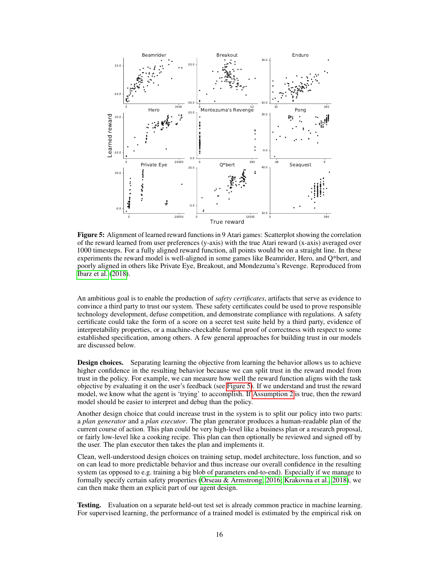<span id="page-15-0"></span>

Figure 5: Alignment of learned reward functions in 9 Atari games: Scatterplot showing the correlation of the reward learned from user preferences (y-axis) with the true Atari reward (x-axis) averaged over 1000 timesteps. For a fully aligned reward function, all points would be on a straight line. In these experiments the reward model is well-aligned in some games like Beamrider, Hero, and  $Q^*$ bert, and poorly aligned in others like Private Eye, Breakout, and Mondezuma's Revenge. Reproduced from [Ibarz et al.](#page-25-7) [\(2018\)](#page-25-7).

An ambitious goal is to enable the production of *safety certificates*, artifacts that serve as evidence to convince a third party to trust our system. These safety certificates could be used to prove responsible technology development, defuse competition, and demonstrate compliance with regulations. A safety certificate could take the form of a score on a secret test suite held by a third party, evidence of interpretability properties, or a machine-checkable formal proof of correctness with respect to some established specification, among others. A few general approaches for building trust in our models are discussed below.

**Design choices.** Separating learning the objective from learning the behavior allows us to achieve higher confidence in the resulting behavior because we can split trust in the reward model from trust in the policy. For example, we can measure how well the reward function aligns with the task objective by evaluating it on the user's feedback (see [Figure 5\)](#page-15-0). If we understand and trust the reward model, we know what the agent is 'trying' to accomplish. If [Assumption 2](#page-2-0) is true, then the reward model should be easier to interpret and debug than the policy.

Another design choice that could increase trust in the system is to split our policy into two parts: a *plan generator* and a *plan executor*. The plan generator produces a human-readable plan of the current course of action. This plan could be very high-level like a business plan or a research proposal, or fairly low-level like a cooking recipe. This plan can then optionally be reviewed and signed off by the user. The plan executor then takes the plan and implements it.

Clean, well-understood design choices on training setup, model architecture, loss function, and so on can lead to more predictable behavior and thus increase our overall confidence in the resulting system (as opposed to e.g. training a big blob of parameters end-to-end). Especially if we manage to formally specify certain safety properties [\(Orseau & Armstrong, 2016;](#page-27-6) [Krakovna et al., 2018\)](#page-25-1), we can then make them an explicit part of our agent design.

Testing. Evaluation on a separate held-out test set is already common practice in machine learning. For supervised learning, the performance of a trained model is estimated by the empirical risk on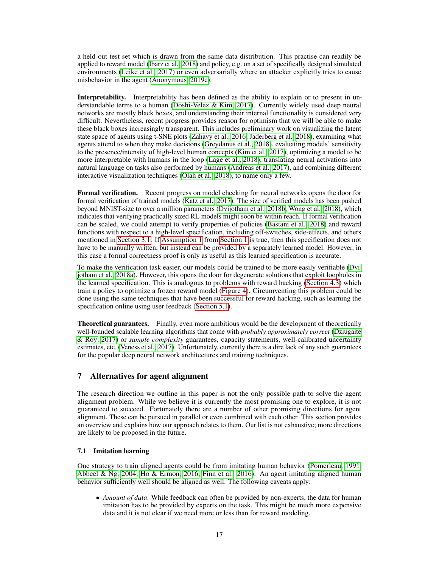a held-out test set which is drawn from the same data distribution. This practise can readily be applied to reward model [\(Ibarz et al., 2018\)](#page-25-7) and policy, e.g. on a set of specifically designed simulated environments [\(Leike et al., 2017\)](#page-26-2) or even adversarially where an attacker explicitly tries to cause misbehavior in the agent [\(Anonymous, 2019c\)](#page-21-13).

Interpretability. Interpretability has been defined as the ability to explain or to present in understandable terms to a human [\(Doshi-Velez & Kim, 2017\)](#page-23-15). Currently widely used deep neural networks are mostly black boxes, and understanding their internal functionality is considered very difficult. Nevertheless, recent progress provides reason for optimism that we will be able to make these black boxes increasingly transparent. This includes preliminary work on visualizing the latent state space of agents using t-SNE plots [\(Zahavy et al., 2016;](#page-29-12) [Jaderberg et al., 2018\)](#page-25-16), examining what agents attend to when they make decisions [\(Greydanus et al., 2018\)](#page-24-17), evaluating models' sensitivity to the presence/intensity of high-level human concepts [\(Kim et al., 2017\)](#page-25-17), optimizing a model to be more interpretable with humans in the loop [\(Lage et al., 2018\)](#page-25-18), translating neural activations into natural language on tasks also performed by humans [\(Andreas et al., 2017\)](#page-21-15), and combining different interactive visualization techniques [\(Olah et al., 2018\)](#page-27-17), to name only a few.

Formal verification. Recent progress on model checking for neural networks opens the door for formal verification of trained models [\(Katz et al., 2017\)](#page-25-19). The size of verified models has been pushed beyond MNIST-size to over a million parameters [\(Dvijotham et al., 2018b;](#page-23-16) [Wong et al., 2018\)](#page-29-13), which indicates that verifying practically sized RL models might soon be within reach. If formal verification can be scaled, we could attempt to verify properties of policies [\(Bastani et al., 2018\)](#page-22-17) and reward functions with respect to a high-level specification, including off-switches, side-effects, and others mentioned in [Section 3.1.](#page-5-0) If [Assumption 1](#page-2-1) from [Section 1](#page-0-0) is true, then this specification does not have to be manually written, but instead can be provided by a separately learned model. However, in this case a formal correctness proof is only as useful as this learned specification is accurate.

To make the verification task easier, our models could be trained to be more easily verifiable [\(Dvi](#page-23-17)[jotham et al., 2018a\)](#page-23-17). However, this opens the door for degenerate solutions that exploit loopholes in the learned specification. This is analogous to problems with reward hacking [\(Section 4.3\)](#page-10-2) which train a policy to optimize a frozen reward model [\(Figure 4\)](#page-10-1). Circumventing this problem could be done using the same techniques that have been successful for reward hacking, such as learning the specification online using user feedback [\(Section 5.1\)](#page-11-2).

**Theoretical guarantees.** Finally, even more ambitious would be the development of theoretically well-founded scalable learning algorithms that come with *probably approximately correct* [\(Dziugaite](#page-23-18) [& Roy, 2017\)](#page-23-18) or *sample complexity* guarantees, capacity statements, well-calibrated uncertainty estimates, etc. [\(Veness et al., 2017\)](#page-29-14). Unfortunately, currently there is a dire lack of any such guarantees for the popular deep neural network architectures and training techniques.

# <span id="page-16-1"></span>7 Alternatives for agent alignment

The research direction we outline in this paper is not the only possible path to solve the agent alignment problem. While we believe it is currently the most promising one to explore, it is not guaranteed to succeed. Fortunately there are a number of other promising directions for agent alignment. These can be pursued in parallel or even combined with each other. This section provides an overview and explains how our approach relates to them. Our list is not exhaustive; more directions are likely to be proposed in the future.

# <span id="page-16-0"></span>7.1 Imitation learning

One strategy to train aligned agents could be from imitating human behavior [\(Pomerleau, 1991;](#page-27-20) [Abbeel & Ng, 2004;](#page-21-1) [Ho & Ermon, 2016;](#page-25-6) [Finn et al., 2016\)](#page-23-8). An agent imitating aligned human behavior sufficiently well should be aligned as well. The following caveats apply:

• *Amount of data*. While feedback can often be provided by non-experts, the data for human imitation has to be provided by experts on the task. This might be much more expensive data and it is not clear if we need more or less than for reward modeling.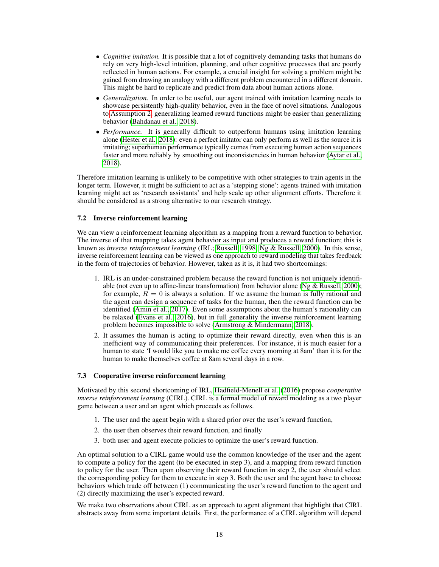- *Cognitive imitation.* It is possible that a lot of cognitively demanding tasks that humans do rely on very high-level intuition, planning, and other cognitive processes that are poorly reflected in human actions. For example, a crucial insight for solving a problem might be gained from drawing an analogy with a different problem encountered in a different domain. This might be hard to replicate and predict from data about human actions alone.
- *Generalization.* In order to be useful, our agent trained with imitation learning needs to showcase persistently high-quality behavior, even in the face of novel situations. Analogous to [Assumption 2,](#page-2-0) generalizing learned reward functions might be easier than generalizing behavior [\(Bahdanau et al., 2018\)](#page-22-9).
- *Performance*. It is generally difficult to outperform humans using imitation learning alone [\(Hester et al., 2018\)](#page-24-18): even a perfect imitator can only perform as well as the source it is imitating; superhuman performance typically comes from executing human action sequences faster and more reliably by smoothing out inconsistencies in human behavior [\(Aytar et al.,](#page-22-18) [2018\)](#page-22-18).

Therefore imitation learning is unlikely to be competitive with other strategies to train agents in the longer term. However, it might be sufficient to act as a 'stepping stone': agents trained with imitation learning might act as 'research assistants' and help scale up other alignment efforts. Therefore it should be considered as a strong alternative to our research strategy.

## 7.2 Inverse reinforcement learning

We can view a reinforcement learning algorithm as a mapping from a reward function to behavior. The inverse of that mapping takes agent behavior as input and produces a reward function; this is known as *inverse reinforcement learning* (IRL; [Russell, 1998;](#page-27-4) [Ng & Russell, 2000\)](#page-27-5). In this sense, inverse reinforcement learning can be viewed as one approach to reward modeling that takes feedback in the form of trajectories of behavior. However, taken as it is, it had two shortcomings:

- 1. IRL is an under-constrained problem because the reward function is not uniquely identifi-able (not even up to affine-linear transformation) from behavior alone [\(Ng & Russell, 2000\)](#page-27-5); for example,  $R = 0$  is always a solution. If we assume the human is fully rational and the agent can design a sequence of tasks for the human, then the reward function can be identified [\(Amin et al., 2017\)](#page-21-16). Even some assumptions about the human's rationality can be relaxed [\(Evans et al., 2016\)](#page-23-19), but in full generality the inverse reinforcement learning problem becomes impossible to solve [\(Armstrong & Mindermann, 2018\)](#page-22-19).
- 2. It assumes the human is acting to optimize their reward directly, even when this is an inefficient way of communicating their preferences. For instance, it is much easier for a human to state 'I would like you to make me coffee every morning at 8am' than it is for the human to make themselves coffee at 8am several days in a row.

## 7.3 Cooperative inverse reinforcement learning

Motivated by this second shortcoming of IRL, [Hadfield-Menell et al.](#page-24-0) [\(2016\)](#page-24-0) propose *cooperative inverse reinforcement learning* (CIRL). CIRL is a formal model of reward modeling as a two player game between a user and an agent which proceeds as follows.

- 1. The user and the agent begin with a shared prior over the user's reward function,
- 2. the user then observes their reward function, and finally
- 3. both user and agent execute policies to optimize the user's reward function.

An optimal solution to a CIRL game would use the common knowledge of the user and the agent to compute a policy for the agent (to be executed in step 3), and a mapping from reward function to policy for the user. Then upon observing their reward function in step 2, the user should select the corresponding policy for them to execute in step 3. Both the user and the agent have to choose behaviors which trade off between (1) communicating the user's reward function to the agent and (2) directly maximizing the user's expected reward.

We make two observations about CIRL as an approach to agent alignment that highlight that CIRL abstracts away from some important details. First, the performance of a CIRL algorithm will depend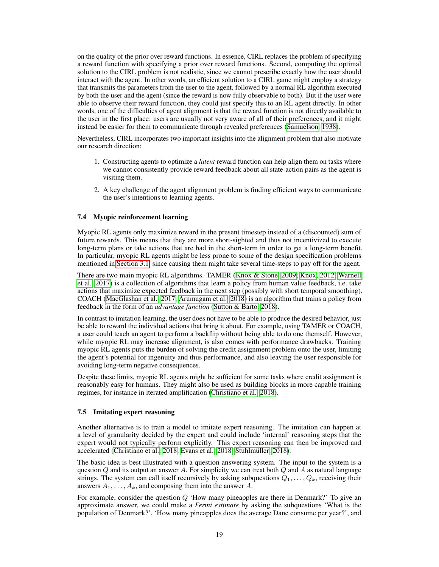on the quality of the prior over reward functions. In essence, CIRL replaces the problem of specifying a reward function with specifying a prior over reward functions. Second, computing the optimal solution to the CIRL problem is not realistic, since we cannot prescribe exactly how the user should interact with the agent. In other words, an efficient solution to a CIRL game might employ a strategy that transmits the parameters from the user to the agent, followed by a normal RL algorithm executed by both the user and the agent (since the reward is now fully observable to both). But if the user were able to observe their reward function, they could just specify this to an RL agent directly. In other words, one of the difficulties of agent alignment is that the reward function is not directly available to the user in the first place: users are usually not very aware of all of their preferences, and it might instead be easier for them to communicate through revealed preferences [\(Samuelson, 1938\)](#page-27-21).

Nevertheless, CIRL incorporates two important insights into the alignment problem that also motivate our research direction:

- 1. Constructing agents to optimize a *latent* reward function can help align them on tasks where we cannot consistently provide reward feedback about all state-action pairs as the agent is visiting them.
- 2. A key challenge of the agent alignment problem is finding efficient ways to communicate the user's intentions to learning agents.

#### 7.4 Myopic reinforcement learning

Myopic RL agents only maximize reward in the present timestep instead of a (discounted) sum of future rewards. This means that they are more short-sighted and thus not incentivized to execute long-term plans or take actions that are bad in the short-term in order to get a long-term benefit. In particular, myopic RL agents might be less prone to some of the design specification problems mentioned in [Section 3.1,](#page-5-0) since causing them might take several time-steps to pay off for the agent.

There are two main myopic RL algorithms. TAMER [\(Knox & Stone, 2009;](#page-25-0) [Knox, 2012;](#page-25-20) [Warnell](#page-29-15) [et al., 2017\)](#page-29-15) is a collection of algorithms that learn a policy from human value feedback, i.e. take actions that maximize expected feedback in the next step (possibly with short temporal smoothing). COACH [\(MacGlashan et al., 2017;](#page-26-6) [Arumugam et al., 2018\)](#page-22-20) is an algorithm that trains a policy from feedback in the form of an *advantage function* [\(Sutton & Barto, 2018\)](#page-28-3).

In contrast to imitation learning, the user does not have to be able to produce the desired behavior, just be able to reward the individual actions that bring it about. For example, using TAMER or COACH, a user could teach an agent to perform a backflip without being able to do one themself. However, while myopic RL may increase alignment, is also comes with performance drawbacks. Training myopic RL agents puts the burden of solving the credit assignment problem onto the user, limiting the agent's potential for ingenuity and thus performance, and also leaving the user responsible for avoiding long-term negative consequences.

Despite these limits, myopic RL agents might be sufficient for some tasks where credit assignment is reasonably easy for humans. They might also be used as building blocks in more capable training regimes, for instance in iterated amplification [\(Christiano et al., 2018\)](#page-23-9).

#### 7.5 Imitating expert reasoning

Another alternative is to train a model to imitate expert reasoning. The imitation can happen at a level of granularity decided by the expert and could include 'internal' reasoning steps that the expert would not typically perform explicitly. This expert reasoning can then be improved and accelerated [\(Christiano et al., 2018;](#page-23-9) [Evans et al., 2018;](#page-23-20) [Stuhlmüller, 2018\)](#page-28-19).

The basic idea is best illustrated with a question answering system. The input to the system is a question  $Q$  and its output an answer  $A$ . For simplicity we can treat both  $Q$  and  $A$  as natural language strings. The system can call itself recursively by asking subquestions  $Q_1, \ldots, Q_k$ , receiving their answers  $A_1, \ldots, A_k$ , and composing them into the answer A.

For example, consider the question  $Q$  'How many pineapples are there in Denmark?' To give an approximate answer, we could make a *Fermi estimate* by asking the subquestions 'What is the population of Denmark?', 'How many pineapples does the average Dane consume per year?', and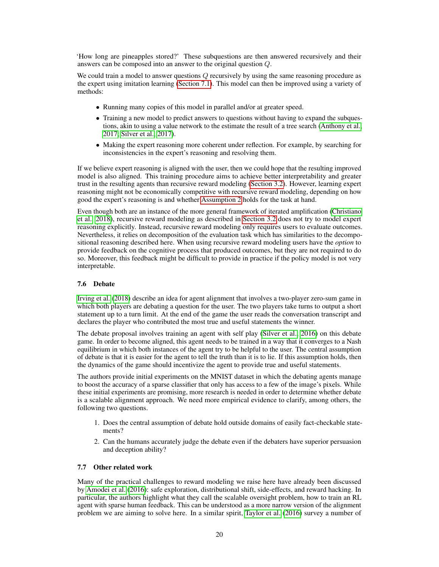'How long are pineapples stored?' These subquestions are then answered recursively and their answers can be composed into an answer to the original question Q.

We could train a model to answer questions  $Q$  recursively by using the same reasoning procedure as the expert using imitation learning [\(Section 7.1\)](#page-16-0). This model can then be improved using a variety of methods:

- Running many copies of this model in parallel and/or at greater speed.
- Training a new model to predict answers to questions without having to expand the subquestions, akin to using a value network to the estimate the result of a tree search [\(Anthony et al.,](#page-21-17) [2017;](#page-21-17) [Silver et al., 2017\)](#page-28-20).
- Making the expert reasoning more coherent under reflection. For example, by searching for inconsistencies in the expert's reasoning and resolving them.

If we believe expert reasoning is aligned with the user, then we could hope that the resulting improved model is also aligned. This training procedure aims to achieve better interpretability and greater trust in the resulting agents than recursive reward modeling [\(Section 3.2\)](#page-6-0). However, learning expert reasoning might not be economically competitive with recursive reward modeling, depending on how good the expert's reasoning is and whether [Assumption 2](#page-2-0) holds for the task at hand.

Even though both are an instance of the more general framework of iterated amplification [\(Christiano](#page-23-9) [et al., 2018\)](#page-23-9), recursive reward modeling as described in [Section 3.2](#page-6-0) does not try to model expert reasoning explicitly. Instead, recursive reward modeling only requires users to evaluate outcomes. Nevertheless, it relies on decomposition of the evaluation task which has similarities to the decompositional reasoning described here. When using recursive reward modeling users have the *option* to provide feedback on the cognitive process that produced outcomes, but they are not required to do so. Moreover, this feedback might be difficult to provide in practice if the policy model is not very interpretable.

## 7.6 Debate

[Irving et al.](#page-25-9) [\(2018\)](#page-25-9) describe an idea for agent alignment that involves a two-player zero-sum game in which both players are debating a question for the user. The two players take turns to output a short statement up to a turn limit. At the end of the game the user reads the conversation transcript and declares the player who contributed the most true and useful statements the winner.

The debate proposal involves training an agent with self play [\(Silver et al., 2016\)](#page-28-7) on this debate game. In order to become aligned, this agent needs to be trained in a way that it converges to a Nash equilibrium in which both instances of the agent try to be helpful to the user. The central assumption of debate is that it is easier for the agent to tell the truth than it is to lie. If this assumption holds, then the dynamics of the game should incentivize the agent to provide true and useful statements.

The authors provide initial experiments on the MNIST dataset in which the debating agents manage to boost the accuracy of a sparse classifier that only has access to a few of the image's pixels. While these initial experiments are promising, more research is needed in order to determine whether debate is a scalable alignment approach. We need more empirical evidence to clarify, among others, the following two questions.

- 1. Does the central assumption of debate hold outside domains of easily fact-checkable statements?
- 2. Can the humans accurately judge the debate even if the debaters have superior persuasion and deception ability?

#### 7.7 Other related work

Many of the practical challenges to reward modeling we raise here have already been discussed by [Amodei et al.](#page-21-0) [\(2016\)](#page-21-0): safe exploration, distributional shift, side-effects, and reward hacking. In particular, the authors highlight what they call the scalable oversight problem, how to train an RL agent with sparse human feedback. This can be understood as a more narrow version of the alignment problem we are aiming to solve here. In a similar spirit, [Taylor et al.](#page-28-1) [\(2016\)](#page-28-1) survey a number of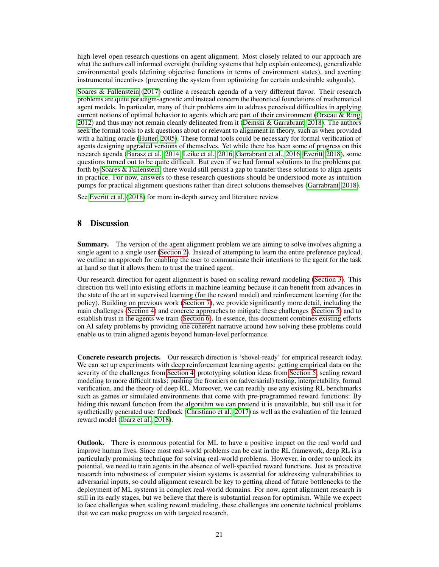high-level open research questions on agent alignment. Most closely related to our approach are what the authors call informed oversight (building systems that help explain outcomes), generalizable environmental goals (defining objective functions in terms of environment states), and averting instrumental incentives (preventing the system from optimizing for certain undesirable subgoals).

[Soares & Fallenstein](#page-28-2) [\(2017\)](#page-28-2) outline a research agenda of a very different flavor. Their research problems are quite paradigm-agnostic and instead concern the theoretical foundations of mathematical agent models. In particular, many of their problems aim to address perceived difficulties in applying current notions of optimal behavior to agents which are part of their environment [\(Orseau & Ring,](#page-27-22) [2012\)](#page-27-22) and thus may not remain cleanly delineated from it [\(Demski & Garrabrant, 2018\)](#page-23-21). The authors seek the formal tools to ask questions about or relevant to alignment in theory, such as when provided with a halting oracle [\(Hutter, 2005\)](#page-25-21). These formal tools could be necessary for formal verification of agents designing upgraded versions of themselves. Yet while there has been some of progress on this research agenda [\(Barasz et al., 2014;](#page-22-21) [Leike et al., 2016;](#page-26-18) [Garrabrant et al., 2016;](#page-24-19) [Everitt, 2018\)](#page-23-12), some questions turned out to be quite difficult. But even if we had formal solutions to the problems put forth by [Soares & Fallenstein,](#page-28-2) there would still persist a gap to transfer these solutions to align agents in practice. For now, answers to these research questions should be understood more as intuition pumps for practical alignment questions rather than direct solutions themselves [\(Garrabrant, 2018\)](#page-24-20).

See [Everitt et al.](#page-23-22) [\(2018\)](#page-23-22) for more in-depth survey and literature review.

# 8 Discussion

Summary. The version of the agent alignment problem we are aiming to solve involves aligning a single agent to a single user [\(Section 2\)](#page-2-2). Instead of attempting to learn the entire preference payload, we outline an approach for enabling the user to communicate their intentions to the agent for the task at hand so that it allows them to trust the trained agent.

Our research direction for agent alignment is based on scaling reward modeling [\(Section 3\)](#page-4-0). This direction fits well into existing efforts in machine learning because it can benefit from advances in the state of the art in supervised learning (for the reward model) and reinforcement learning (for the policy). Building on previous work [\(Section 7\)](#page-16-1), we provide significantly more detail, including the main challenges [\(Section 4\)](#page-8-0) and concrete approaches to mitigate these challenges [\(Section 5\)](#page-11-0) and to establish trust in the agents we train [\(Section 6\)](#page-14-0). In essence, this document combines existing efforts on AI safety problems by providing one coherent narrative around how solving these problems could enable us to train aligned agents beyond human-level performance.

Concrete research projects. Our research direction is 'shovel-ready' for empirical research today. We can set up experiments with deep reinforcement learning agents: getting empirical data on the severity of the challenges from [Section 4;](#page-8-0) prototyping solution ideas from [Section 5;](#page-11-0) scaling reward modeling to more difficult tasks; pushing the frontiers on (adversarial) testing, interpretability, formal verification, and the theory of deep RL. Moreover, we can readily use any existing RL benchmarks such as games or simulated environments that come with pre-programmed reward functions: By hiding this reward function from the algorithm we can pretend it is unavailable, but still use it for synthetically generated user feedback [\(Christiano et al., 2017\)](#page-23-7) as well as the evaluation of the learned reward model [\(Ibarz et al., 2018\)](#page-25-7).

Outlook. There is enormous potential for ML to have a positive impact on the real world and improve human lives. Since most real-world problems can be cast in the RL framework, deep RL is a particularly promising technique for solving real-world problems. However, in order to unlock its potential, we need to train agents in the absence of well-specified reward functions. Just as proactive research into robustness of computer vision systems is essential for addressing vulnerabilities to adversarial inputs, so could alignment research be key to getting ahead of future bottlenecks to the deployment of ML systems in complex real-world domains. For now, agent alignment research is still in its early stages, but we believe that there is substantial reason for optimism. While we expect to face challenges when scaling reward modeling, these challenges are concrete technical problems that we can make progress on with targeted research.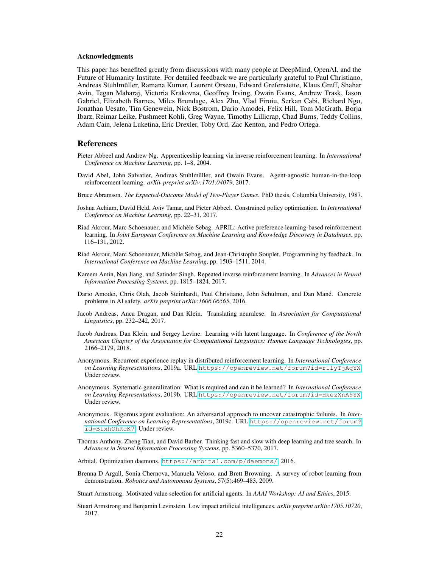#### Acknowledgments

This paper has benefited greatly from discussions with many people at DeepMind, OpenAI, and the Future of Humanity Institute. For detailed feedback we are particularly grateful to Paul Christiano, Andreas Stuhlmüller, Ramana Kumar, Laurent Orseau, Edward Grefenstette, Klaus Greff, Shahar Avin, Tegan Maharaj, Victoria Krakovna, Geoffrey Irving, Owain Evans, Andrew Trask, Iason Gabriel, Elizabeth Barnes, Miles Brundage, Alex Zhu, Vlad Firoiu, Serkan Cabi, Richard Ngo, Jonathan Uesato, Tim Genewein, Nick Bostrom, Dario Amodei, Felix Hill, Tom McGrath, Borja Ibarz, Reimar Leike, Pushmeet Kohli, Greg Wayne, Timothy Lillicrap, Chad Burns, Teddy Collins, Adam Cain, Jelena Luketina, Eric Drexler, Toby Ord, Zac Kenton, and Pedro Ortega.

# References

- <span id="page-21-1"></span>Pieter Abbeel and Andrew Ng. Apprenticeship learning via inverse reinforcement learning. In *International Conference on Machine Learning*, pp. 1–8, 2004.
- <span id="page-21-9"></span>David Abel, John Salvatier, Andreas Stuhlmüller, and Owain Evans. Agent-agnostic human-in-the-loop reinforcement learning. *arXiv preprint arXiv:1701.04079*, 2017.
- <span id="page-21-11"></span>Bruce Abramson. *The Expected-Outcome Model of Two-Player Games*. PhD thesis, Columbia University, 1987.
- <span id="page-21-12"></span>Joshua Achiam, David Held, Aviv Tamar, and Pieter Abbeel. Constrained policy optimization. In *International Conference on Machine Learning*, pp. 22–31, 2017.
- <span id="page-21-3"></span>Riad Akrour, Marc Schoenauer, and Michèle Sebag. APRIL: Active preference learning-based reinforcement learning. In *Joint European Conference on Machine Learning and Knowledge Discovery in Databases*, pp. 116–131, 2012.
- <span id="page-21-4"></span>Riad Akrour, Marc Schoenauer, Michèle Sebag, and Jean-Christophe Souplet. Programming by feedback. In *International Conference on Machine Learning*, pp. 1503–1511, 2014.
- <span id="page-21-16"></span>Kareem Amin, Nan Jiang, and Satinder Singh. Repeated inverse reinforcement learning. In *Advances in Neural Information Processing Systems*, pp. 1815–1824, 2017.
- <span id="page-21-0"></span>Dario Amodei, Chris Olah, Jacob Steinhardt, Paul Christiano, John Schulman, and Dan Mané. Concrete problems in AI safety. *arXiv preprint arXiv:1606.06565*, 2016.
- <span id="page-21-15"></span>Jacob Andreas, Anca Dragan, and Dan Klein. Translating neuralese. In *Association for Computational Linguistics*, pp. 232–242, 2017.
- <span id="page-21-10"></span>Jacob Andreas, Dan Klein, and Sergey Levine. Learning with latent language. In *Conference of the North American Chapter of the Association for Computational Linguistics: Human Language Technologies*, pp. 2166–2179, 2018.
- <span id="page-21-7"></span>Anonymous. Recurrent experience replay in distributed reinforcement learning. In *International Conference on Learning Representations*, 2019a. URL <https://openreview.net/forum?id=r1lyTjAqYX>. Under review.
- <span id="page-21-14"></span>Anonymous. Systematic generalization: What is required and can it be learned? In *International Conference on Learning Representations*, 2019b. URL <https://openreview.net/forum?id=HkezXnA9YX>. Under review.
- <span id="page-21-13"></span>Anonymous. Rigorous agent evaluation: An adversarial approach to uncover catastrophic failures. In *International Conference on Learning Representations*, 2019c. URL [https://openreview.net/forum?](https://openreview.net/forum?id=B1xhQhRcK7) [id=B1xhQhRcK7](https://openreview.net/forum?id=B1xhQhRcK7). Under review.
- <span id="page-21-17"></span>Thomas Anthony, Zheng Tian, and David Barber. Thinking fast and slow with deep learning and tree search. In *Advances in Neural Information Processing Systems*, pp. 5360–5370, 2017.
- <span id="page-21-6"></span>Arbital. Optimization daemons. <https://arbital.com/p/daemons/>, 2016.
- <span id="page-21-2"></span>Brenna D Argall, Sonia Chernova, Manuela Veloso, and Brett Browning. A survey of robot learning from demonstration. *Robotics and Autonomous Systems*, 57(5):469–483, 2009.

<span id="page-21-8"></span>Stuart Armstrong. Motivated value selection for artificial agents. In *AAAI Workshop: AI and Ethics*, 2015.

<span id="page-21-5"></span>Stuart Armstrong and Benjamin Levinstein. Low impact artificial intelligences. *arXiv preprint arXiv:1705.10720*, 2017.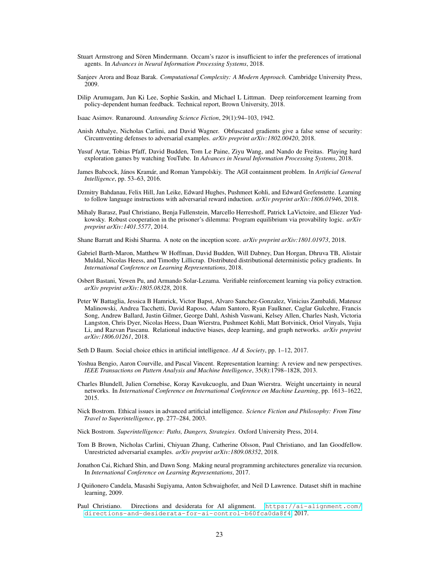- <span id="page-22-19"></span>Stuart Armstrong and Sören Mindermann. Occam's razor is insufficient to infer the preferences of irrational agents. In *Advances in Neural Information Processing Systems*, 2018.
- <span id="page-22-1"></span>Sanjeev Arora and Boaz Barak. *Computational Complexity: A Modern Approach*. Cambridge University Press, 2009.
- <span id="page-22-20"></span>Dilip Arumugam, Jun Ki Lee, Sophie Saskin, and Michael L Littman. Deep reinforcement learning from policy-dependent human feedback. Technical report, Brown University, 2018.
- <span id="page-22-3"></span>Isaac Asimov. Runaround. *Astounding Science Fiction*, 29(1):94–103, 1942.
- <span id="page-22-11"></span>Anish Athalye, Nicholas Carlini, and David Wagner. Obfuscated gradients give a false sense of security: Circumventing defenses to adversarial examples. *arXiv preprint arXiv:1802.00420*, 2018.
- <span id="page-22-18"></span>Yusuf Aytar, Tobias Pfaff, David Budden, Tom Le Paine, Ziyu Wang, and Nando de Freitas. Playing hard exploration games by watching YouTube. In *Advances in Neural Information Processing Systems*, 2018.
- <span id="page-22-6"></span>James Babcock, János Kramár, and Roman Yampolskiy. The AGI containment problem. In *Artificial General Intelligence*, pp. 53–63, 2016.
- <span id="page-22-9"></span>Dzmitry Bahdanau, Felix Hill, Jan Leike, Edward Hughes, Pushmeet Kohli, and Edward Grefenstette. Learning to follow language instructions with adversarial reward induction. *arXiv preprint arXiv:1806.01946*, 2018.
- <span id="page-22-21"></span>Mihaly Barasz, Paul Christiano, Benja Fallenstein, Marcello Herreshoff, Patrick LaVictoire, and Eliezer Yudkowsky. Robust cooperation in the prisoner's dilemma: Program equilibrium via provability logic. *arXiv preprint arXiv:1401.5577*, 2014.

<span id="page-22-7"></span>Shane Barratt and Rishi Sharma. A note on the inception score. *arXiv preprint arXiv:1801.01973*, 2018.

- <span id="page-22-8"></span>Gabriel Barth-Maron, Matthew W Hoffman, David Budden, Will Dabney, Dan Horgan, Dhruva TB, Alistair Muldal, Nicolas Heess, and Timothy Lillicrap. Distributed distributional deterministic policy gradients. In *International Conference on Learning Representations*, 2018.
- <span id="page-22-17"></span>Osbert Bastani, Yewen Pu, and Armando Solar-Lezama. Verifiable reinforcement learning via policy extraction. *arXiv preprint arXiv:1805.08328*, 2018.
- <span id="page-22-16"></span>Peter W Battaglia, Jessica B Hamrick, Victor Bapst, Alvaro Sanchez-Gonzalez, Vinicius Zambaldi, Mateusz Malinowski, Andrea Tacchetti, David Raposo, Adam Santoro, Ryan Faulkner, Caglar Gulcehre, Francis Song, Andrew Ballard, Justin Gilmer, George Dahl, Ashish Vaswani, Kelsey Allen, Charles Nash, Victoria Langston, Chris Dyer, Nicolas Heess, Daan Wierstra, Pushmeet Kohli, Matt Botvinick, Oriol Vinyals, Yujia Li, and Razvan Pascanu. Relational inductive biases, deep learning, and graph networks. *arXiv preprint arXiv:1806.01261*, 2018.
- <span id="page-22-2"></span>Seth D Baum. Social choice ethics in artificial intelligence. *AI & Society*, pp. 1–12, 2017.
- <span id="page-22-14"></span>Yoshua Bengio, Aaron Courville, and Pascal Vincent. Representation learning: A review and new perspectives. *IEEE Transactions on Pattern Analysis and Machine Intelligence*, 35(8):1798–1828, 2013.
- <span id="page-22-13"></span>Charles Blundell, Julien Cornebise, Koray Kavukcuoglu, and Daan Wierstra. Weight uncertainty in neural networks. In *International Conference on International Conference on Machine Learning*, pp. 1613–1622, 2015.
- <span id="page-22-4"></span>Nick Bostrom. Ethical issues in advanced artificial intelligence. *Science Fiction and Philosophy: From Time Travel to Superintelligence*, pp. 277–284, 2003.
- <span id="page-22-5"></span>Nick Bostrom. *Superintelligence: Paths, Dangers, Strategies*. Oxford University Press, 2014.
- <span id="page-22-12"></span>Tom B Brown, Nicholas Carlini, Chiyuan Zhang, Catherine Olsson, Paul Christiano, and Ian Goodfellow. Unrestricted adversarial examples. *arXiv preprint arXiv:1809.08352*, 2018.
- <span id="page-22-15"></span>Jonathon Cai, Richard Shin, and Dawn Song. Making neural programming architectures generalize via recursion. In *International Conference on Learning Representations*, 2017.
- <span id="page-22-10"></span>J Quiñonero Candela, Masashi Sugiyama, Anton Schwaighofer, and Neil D Lawrence. Dataset shift in machine learning, 2009.
- <span id="page-22-0"></span>Paul Christiano. Directions and desiderata for AI alignment. [https://ai-alignment.com/](https://ai-alignment.com/directions-and-desiderata-for-ai-control-b60fca0da8f4) [directions-and-desiderata-for-ai-control-b60fca0da8f4](https://ai-alignment.com/directions-and-desiderata-for-ai-control-b60fca0da8f4), 2017.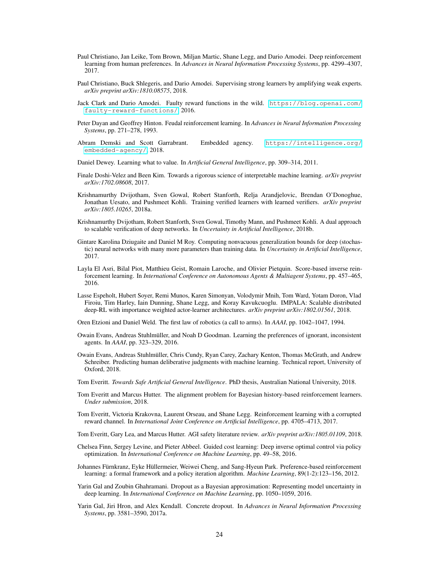- <span id="page-23-7"></span>Paul Christiano, Jan Leike, Tom Brown, Miljan Martic, Shane Legg, and Dario Amodei. Deep reinforcement learning from human preferences. In *Advances in Neural Information Processing Systems*, pp. 4299–4307, 2017.
- <span id="page-23-9"></span>Paul Christiano, Buck Shlegeris, and Dario Amodei. Supervising strong learners by amplifying weak experts. *arXiv preprint arXiv:1810.08575*, 2018.
- <span id="page-23-0"></span>Jack Clark and Dario Amodei. Faulty reward functions in the wild. [https://blog.openai.com/](https://blog.openai.com/faulty-reward-functions/) [faulty-reward-functions/](https://blog.openai.com/faulty-reward-functions/), 2016.
- <span id="page-23-11"></span>Peter Dayan and Geoffrey Hinton. Feudal reinforcement learning. In *Advances in Neural Information Processing Systems*, pp. 271–278, 1993.
- <span id="page-23-21"></span>Abram Demski and Scott Garrabrant. Embedded agency. [https://intelligence.org/](https://intelligence.org/embedded-agency/) [embedded-agency/](https://intelligence.org/embedded-agency/), 2018.

<span id="page-23-2"></span>Daniel Dewey. Learning what to value. In *Artificial General Intelligence*, pp. 309–314, 2011.

- <span id="page-23-15"></span>Finale Doshi-Velez and Been Kim. Towards a rigorous science of interpretable machine learning. *arXiv preprint arXiv:1702.08608*, 2017.
- <span id="page-23-17"></span>Krishnamurthy Dvijotham, Sven Gowal, Robert Stanforth, Relja Arandjelovic, Brendan O'Donoghue, Jonathan Uesato, and Pushmeet Kohli. Training verified learners with learned verifiers. *arXiv preprint arXiv:1805.10265*, 2018a.
- <span id="page-23-16"></span>Krishnamurthy Dvijotham, Robert Stanforth, Sven Gowal, Timothy Mann, and Pushmeet Kohli. A dual approach to scalable verification of deep networks. In *Uncertainty in Artificial Intelligence*, 2018b.
- <span id="page-23-18"></span>Gintare Karolina Dziugaite and Daniel M Roy. Computing nonvacuous generalization bounds for deep (stochastic) neural networks with many more parameters than training data. In *Uncertainty in Artificial Intelligence*, 2017.
- <span id="page-23-4"></span>Layla El Asri, Bilal Piot, Matthieu Geist, Romain Laroche, and Olivier Pietquin. Score-based inverse reinforcement learning. In *International Conference on Autonomous Agents & Multiagent Systems*, pp. 457–465, 2016.
- <span id="page-23-6"></span>Lasse Espeholt, Hubert Soyer, Remi Munos, Karen Simonyan, Volodymir Mnih, Tom Ward, Yotam Doron, Vlad Firoiu, Tim Harley, Iain Dunning, Shane Legg, and Koray Kavukcuoglu. IMPALA: Scalable distributed deep-RL with importance weighted actor-learner architectures. *arXiv preprint arXiv:1802.01561*, 2018.

<span id="page-23-1"></span>Oren Etzioni and Daniel Weld. The first law of robotics (a call to arms). In *AAAI*, pp. 1042–1047, 1994.

- <span id="page-23-19"></span>Owain Evans, Andreas Stuhlmüller, and Noah D Goodman. Learning the preferences of ignorant, inconsistent agents. In *AAAI*, pp. 323–329, 2016.
- <span id="page-23-20"></span>Owain Evans, Andreas Stuhlmüller, Chris Cundy, Ryan Carey, Zachary Kenton, Thomas McGrath, and Andrew Schreiber. Predicting human deliberative judgments with machine learning. Technical report, University of Oxford, 2018.
- <span id="page-23-12"></span>Tom Everitt. *Towards Safe Artificial General Intelligence*. PhD thesis, Australian National University, 2018.
- <span id="page-23-3"></span>Tom Everitt and Marcus Hutter. The alignment problem for Bayesian history-based reinforcement learners. *Under submission*, 2018.
- <span id="page-23-10"></span>Tom Everitt, Victoria Krakovna, Laurent Orseau, and Shane Legg. Reinforcement learning with a corrupted reward channel. In *International Joint Conference on Artificial Intelligence*, pp. 4705–4713, 2017.
- <span id="page-23-22"></span>Tom Everitt, Gary Lea, and Marcus Hutter. AGI safety literature review. *arXiv preprint arXiv:1805.01109*, 2018.
- <span id="page-23-8"></span>Chelsea Finn, Sergey Levine, and Pieter Abbeel. Guided cost learning: Deep inverse optimal control via policy optimization. In *International Conference on Machine Learning*, pp. 49–58, 2016.
- <span id="page-23-5"></span>Johannes Fürnkranz, Eyke Hüllermeier, Weiwei Cheng, and Sang-Hyeun Park. Preference-based reinforcement learning: a formal framework and a policy iteration algorithm. *Machine Learning*, 89(1-2):123–156, 2012.
- <span id="page-23-13"></span>Yarin Gal and Zoubin Ghahramani. Dropout as a Bayesian approximation: Representing model uncertainty in deep learning. In *International Conference on Machine Learning*, pp. 1050–1059, 2016.
- <span id="page-23-14"></span>Yarin Gal, Jiri Hron, and Alex Kendall. Concrete dropout. In *Advances in Neural Information Processing Systems*, pp. 3581–3590, 2017a.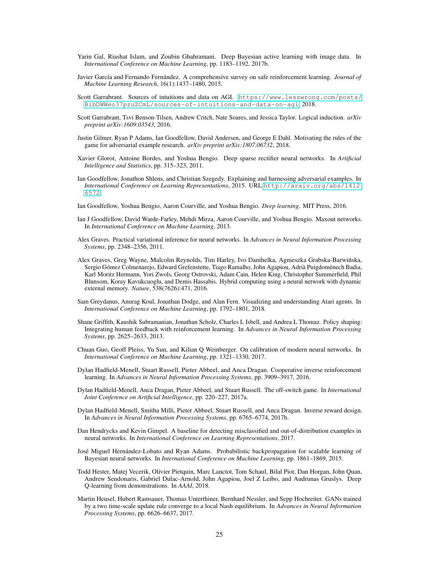- <span id="page-24-12"></span>Yarin Gal, Riashat Islam, and Zoubin Ghahramani. Deep Bayesian active learning with image data. In *International Conference on Machine Learning*, pp. 1183–1192, 2017b.
- <span id="page-24-7"></span>Javier García and Fernando Fernández. A comprehensive survey on safe reinforcement learning. *Journal of Machine Learning Research*, 16(1):1437–1480, 2015.
- <span id="page-24-20"></span>Scott Garrabrant. Sources of intuitions and data on AGI. [https://www.lesswrong.com/posts/](https://www.lesswrong.com/posts/BibDWWeo37pzuZCmL/sources-of-intuitions-and-data-on-agi) [BibDWWeo37pzuZCmL/sources-of-intuitions-and-data-on-agi](https://www.lesswrong.com/posts/BibDWWeo37pzuZCmL/sources-of-intuitions-and-data-on-agi), 2018.
- <span id="page-24-19"></span>Scott Garrabrant, Tsvi Benson-Tilsen, Andrew Critch, Nate Soares, and Jessica Taylor. Logical induction. *arXiv preprint arXiv:1609.03543*, 2016.
- <span id="page-24-8"></span>Justin Gilmer, Ryan P Adams, Ian Goodfellow, David Andersen, and George E Dahl. Motivating the rules of the game for adversarial example research. *arXiv preprint arXiv:1807.06732*, 2018.
- <span id="page-24-14"></span>Xavier Glorot, Antoine Bordes, and Yoshua Bengio. Deep sparse rectifier neural networks. In *Artificial Intelligence and Statistics*, pp. 315–323, 2011.
- <span id="page-24-6"></span>Ian Goodfellow, Jonathon Shlens, and Christian Szegedy. Explaining and harnessing adversarial examples. In *International Conference on Learning Representations*, 2015. URL [http://arxiv.org/abs/1412.](http://arxiv.org/abs/1412.6572) [6572](http://arxiv.org/abs/1412.6572).
- <span id="page-24-5"></span>Ian Goodfellow, Yoshua Bengio, Aaron Courville, and Yoshua Bengio. *Deep learning*. MIT Press, 2016.
- <span id="page-24-15"></span>Ian J Goodfellow, David Warde-Farley, Mehdi Mirza, Aaron Courville, and Yoshua Bengio. Maxout networks. In *International Conference on Machine Learning*, 2013.
- <span id="page-24-10"></span>Alex Graves. Practical variational inference for neural networks. In *Advances in Neural Information Processing Systems*, pp. 2348–2356, 2011.
- <span id="page-24-16"></span>Alex Graves, Greg Wayne, Malcolm Reynolds, Tim Harley, Ivo Danihelka, Agnieszka Grabska-Barwinska, ´ Sergio Gómez Colmenarejo, Edward Grefenstette, Tiago Ramalho, John Agapiou, Adrià Puigdomènech Badia, Karl Moritz Hermann, Yori Zwols, Georg Ostrovski, Adam Cain, Helen King, Christopher Summerfield, Phil Blunsom, Koray Kavukcuoglu, and Demis Hassabis. Hybrid computing using a neural network with dynamic external memory. *Nature*, 538(7626):471, 2016.
- <span id="page-24-17"></span>Sam Greydanus, Anurag Koul, Jonathan Dodge, and Alan Fern. Visualizing and understanding Atari agents. In *International Conference on Machine Learning*, pp. 1792–1801, 2018.
- <span id="page-24-1"></span>Shane Griffith, Kaushik Subramanian, Jonathan Scholz, Charles L Isbell, and Andrea L Thomaz. Policy shaping: Integrating human feedback with reinforcement learning. In *Advances in Neural Information Processing Systems*, pp. 2625–2633, 2013.
- <span id="page-24-13"></span>Chuan Guo, Geoff Pleiss, Yu Sun, and Kilian Q Weinberger. On calibration of modern neural networks. In *International Conference on Machine Learning*, pp. 1321–1330, 2017.
- <span id="page-24-0"></span>Dylan Hadfield-Menell, Stuart Russell, Pieter Abbeel, and Anca Dragan. Cooperative inverse reinforcement learning. In *Advances in Neural Information Processing Systems*, pp. 3909–3917, 2016.
- <span id="page-24-3"></span>Dylan Hadfield-Menell, Anca Dragan, Pieter Abbeel, and Stuart Russell. The off-switch game. In *International Joint Conference on Artificial Intelligence*, pp. 220–227, 2017a.
- <span id="page-24-2"></span>Dylan Hadfield-Menell, Smitha Milli, Pieter Abbeel, Stuart Russell, and Anca Dragan. Inverse reward design. In *Advances in Neural Information Processing Systems*, pp. 6765–6774, 2017b.
- <span id="page-24-9"></span>Dan Hendrycks and Kevin Gimpel. A baseline for detecting misclassified and out-of-distribution examples in neural networks. In *International Conference on Learning Representations*, 2017.
- <span id="page-24-11"></span>José Miguel Hernández-Lobato and Ryan Adams. Probabilistic backpropagation for scalable learning of Bayesian neural networks. In *International Conference on Machine Learning*, pp. 1861–1869, 2015.
- <span id="page-24-18"></span>Todd Hester, Matej Vecerik, Olivier Pietquin, Marc Lanctot, Tom Schaul, Bilal Piot, Dan Horgan, John Quan, Andrew Sendonaris, Gabriel Dulac-Arnold, John Agapiou, Joel Z Leibo, and Audrunas Gruslys. Deep Q-learning from demonstrations. In *AAAI*, 2018.
- <span id="page-24-4"></span>Martin Heusel, Hubert Ramsauer, Thomas Unterthiner, Bernhard Nessler, and Sepp Hochreiter. GANs trained by a two time-scale update rule converge to a local Nash equilibrium. In *Advances in Neural Information Processing Systems*, pp. 6626–6637, 2017.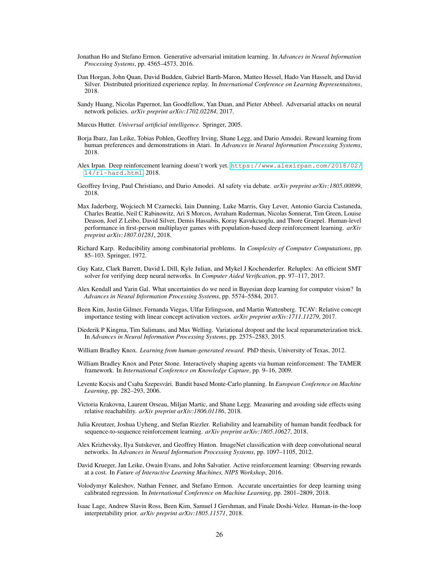- <span id="page-25-6"></span>Jonathan Ho and Stefano Ermon. Generative adversarial imitation learning. In *Advances in Neural Information Processing Systems*, pp. 4565–4573, 2016.
- <span id="page-25-3"></span>Dan Horgan, John Quan, David Budden, Gabriel Barth-Maron, Matteo Hessel, Hado Van Hasselt, and David Silver. Distributed prioritized experience replay. In *International Conference on Learning Representaitons*, 2018.
- <span id="page-25-10"></span>Sandy Huang, Nicolas Papernot, Ian Goodfellow, Yan Duan, and Pieter Abbeel. Adversarial attacks on neural network policies. *arXiv preprint arXiv:1702.02284*, 2017.
- <span id="page-25-21"></span>Marcus Hutter. *Universal artificial intelligence*. Springer, 2005.
- <span id="page-25-7"></span>Borja Ibarz, Jan Leike, Tobias Pohlen, Geoffrey Irving, Shane Legg, and Dario Amodei. Reward learning from human preferences and demonstrations in Atari. In *Advances in Neural Information Processing Systems*, 2018.
- <span id="page-25-4"></span>Alex Irpan. Deep reinforcement learning doesn't work yet. [https://www.alexirpan.com/2018/02/](https://www.alexirpan.com/2018/02/14/rl-hard.html) [14/rl-hard.html](https://www.alexirpan.com/2018/02/14/rl-hard.html), 2018.
- <span id="page-25-9"></span>Geoffrey Irving, Paul Christiano, and Dario Amodei. AI safety via debate. *arXiv preprint arXiv:1805.00899*, 2018.
- <span id="page-25-16"></span>Max Jaderberg, Wojciech M Czarnecki, Iain Dunning, Luke Marris, Guy Lever, Antonio Garcia Castaneda, Charles Beattie, Neil C Rabinowitz, Ari S Morcos, Avraham Ruderman, Nicolas Sonnerat, Tim Green, Louise Deason, Joel Z Leibo, David Silver, Demis Hassabis, Koray Kavukcuoglu, and Thore Graepel. Human-level performance in first-person multiplayer games with population-based deep reinforcement learning. *arXiv preprint arXiv:1807.01281*, 2018.
- <span id="page-25-8"></span>Richard Karp. Reducibility among combinatorial problems. In *Complexity of Computer Computations*, pp. 85–103. Springer, 1972.
- <span id="page-25-19"></span>Guy Katz, Clark Barrett, David L Dill, Kyle Julian, and Mykel J Kochenderfer. Reluplex: An efficient SMT solver for verifying deep neural networks. In *Computer Aided Verification*, pp. 97–117, 2017.
- <span id="page-25-14"></span>Alex Kendall and Yarin Gal. What uncertainties do we need in Bayesian deep learning for computer vision? In *Advances in Neural Information Processing Systems*, pp. 5574–5584, 2017.
- <span id="page-25-17"></span>Been Kim, Justin Gilmer, Fernanda Viegas, Ulfar Erlingsson, and Martin Wattenberg. TCAV: Relative concept importance testing with linear concept activation vectors. *arXiv preprint arXiv:1711.11279*, 2017.
- <span id="page-25-13"></span>Diederik P Kingma, Tim Salimans, and Max Welling. Variational dropout and the local reparameterization trick. In *Advances in Neural Information Processing Systems*, pp. 2575–2583, 2015.
- <span id="page-25-20"></span>William Bradley Knox. *Learning from human-generated reward*. PhD thesis, University of Texas, 2012.
- <span id="page-25-0"></span>William Bradley Knox and Peter Stone. Interactively shaping agents via human reinforcement: The TAMER framework. In *International Conference on Knowledge Capture*, pp. 9–16, 2009.
- <span id="page-25-11"></span>Levente Kocsis and Csaba Szepesvári. Bandit based Monte-Carlo planning. In *European Conference on Machine Learning*, pp. 282–293, 2006.
- <span id="page-25-1"></span>Victoria Krakovna, Laurent Orseau, Miljan Martic, and Shane Legg. Measuring and avoiding side effects using relative reachability. *arXiv preprint arXiv:1806.01186*, 2018.
- <span id="page-25-5"></span>Julia Kreutzer, Joshua Uyheng, and Stefan Riezler. Reliability and learnability of human bandit feedback for sequence-to-sequence reinforcement learning. *arXiv preprint arXiv:1805.10627*, 2018.
- <span id="page-25-2"></span>Alex Krizhevsky, Ilya Sutskever, and Geoffrey Hinton. ImageNet classification with deep convolutional neural networks. In *Advances in Neural Information Processing Systems*, pp. 1097–1105, 2012.
- <span id="page-25-12"></span>David Krueger, Jan Leike, Owain Evans, and John Salvatier. Active reinforcement learning: Observing rewards at a cost. In *Future of Interactive Learning Machines, NIPS Workshop*, 2016.
- <span id="page-25-15"></span>Volodymyr Kuleshov, Nathan Fenner, and Stefano Ermon. Accurate uncertainties for deep learning using calibrated regression. In *International Conference on Machine Learning*, pp. 2801–2809, 2018.
- <span id="page-25-18"></span>Isaac Lage, Andrew Slavin Ross, Been Kim, Samuel J Gershman, and Finale Doshi-Velez. Human-in-the-loop interpretability prior. *arXiv preprint arXiv:1805.11571*, 2018.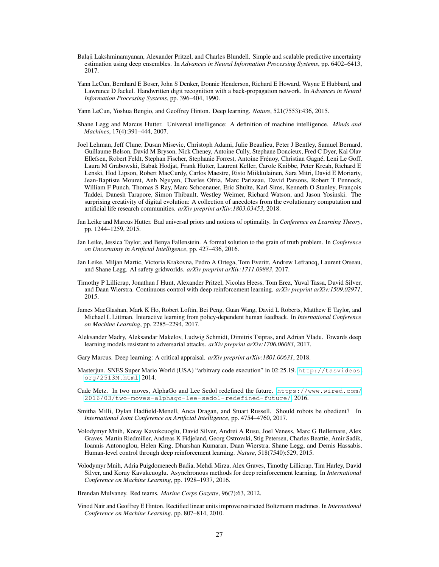- <span id="page-26-15"></span>Balaji Lakshminarayanan, Alexander Pritzel, and Charles Blundell. Simple and scalable predictive uncertainty estimation using deep ensembles. In *Advances in Neural Information Processing Systems*, pp. 6402–6413, 2017.
- <span id="page-26-16"></span>Yann LeCun, Bernhard E Boser, John S Denker, Donnie Henderson, Richard E Howard, Wayne E Hubbard, and Lawrence D Jackel. Handwritten digit recognition with a back-propagation network. In *Advances in Neural Information Processing Systems*, pp. 396–404, 1990.
- <span id="page-26-4"></span>Yann LeCun, Yoshua Bengio, and Geoffrey Hinton. Deep learning. *Nature*, 521(7553):436, 2015.
- <span id="page-26-3"></span>Shane Legg and Marcus Hutter. Universal intelligence: A definition of machine intelligence. *Minds and Machines*, 17(4):391–444, 2007.
- <span id="page-26-1"></span>Joel Lehman, Jeff Clune, Dusan Misevic, Christoph Adami, Julie Beaulieu, Peter J Bentley, Samuel Bernard, Guillaume Belson, David M Bryson, Nick Cheney, Antoine Cully, Stephane Doncieux, Fred C Dyer, Kai Olav Ellefsen, Robert Feldt, Stephan Fischer, Stephanie Forrest, Antoine Frénoy, Christian Gagné, Leni Le Goff, Laura M Grabowski, Babak Hodjat, Frank Hutter, Laurent Keller, Carole Knibbe, Peter Krcah, Richard E Lenski, Hod Lipson, Robert MacCurdy, Carlos Maestre, Risto Miikkulainen, Sara Mitri, David E Moriarty, Jean-Baptiste Mouret, Anh Nguyen, Charles Ofria, Marc Parizeau, David Parsons, Robert T Pennock, William F Punch, Thomas S Ray, Marc Schoenauer, Eric Shulte, Karl Sims, Kenneth O Stanley, François Taddei, Danesh Tarapore, Simon Thibault, Westley Weimer, Richard Watson, and Jason Yosinski. The surprising creativity of digital evolution: A collection of anecdotes from the evolutionary computation and artificial life research communities. *arXiv preprint arXiv:1803.03453*, 2018.
- <span id="page-26-12"></span>Jan Leike and Marcus Hutter. Bad universal priors and notions of optimality. In *Conference on Learning Theory*, pp. 1244–1259, 2015.
- <span id="page-26-18"></span>Jan Leike, Jessica Taylor, and Benya Fallenstein. A formal solution to the grain of truth problem. In *Conference on Uncertainty in Artificial Intelligence*, pp. 427–436, 2016.
- <span id="page-26-2"></span>Jan Leike, Miljan Martic, Victoria Krakovna, Pedro A Ortega, Tom Everitt, Andrew Lefrancq, Laurent Orseau, and Shane Legg. AI safety gridworlds. *arXiv preprint arXiv:1711.09883*, 2017.
- <span id="page-26-9"></span>Timothy P Lillicrap, Jonathan J Hunt, Alexander Pritzel, Nicolas Heess, Tom Erez, Yuval Tassa, David Silver, and Daan Wierstra. Continuous control with deep reinforcement learning. *arXiv preprint arXiv:1509.02971*, 2015.
- <span id="page-26-6"></span>James MacGlashan, Mark K Ho, Robert Loftin, Bei Peng, Guan Wang, David L Roberts, Matthew E Taylor, and Michael L Littman. Interactive learning from policy-dependent human feedback. In *International Conference on Machine Learning*, pp. 2285–2294, 2017.
- <span id="page-26-13"></span>Aleksander Madry, Aleksandar Makelov, Ludwig Schmidt, Dimitris Tsipras, and Adrian Vladu. Towards deep learning models resistant to adversarial attacks. *arXiv preprint arXiv:1706.06083*, 2017.
- <span id="page-26-10"></span>Gary Marcus. Deep learning: A critical appraisal. *arXiv preprint arXiv:1801.00631*, 2018.
- <span id="page-26-11"></span>Masterjun. SNES Super Mario World (USA) "arbitrary code execution" in 02:25.19. [http://tasvideos.](http://tasvideos.org/2513M.html) [org/2513M.html](http://tasvideos.org/2513M.html), 2014.
- <span id="page-26-0"></span>Cade Metz. In two moves, AlphaGo and Lee Sedol redefined the future. [https://www.wired.com/](https://www.wired.com/2016/03/two-moves-alphago-lee-sedol-redefined-future/) [2016/03/two-moves-alphago-lee-sedol-redefined-future/](https://www.wired.com/2016/03/two-moves-alphago-lee-sedol-redefined-future/), 2016.
- <span id="page-26-5"></span>Smitha Milli, Dylan Hadfield-Menell, Anca Dragan, and Stuart Russell. Should robots be obedient? In *International Joint Conference on Artificial Intelligence*, pp. 4754–4760, 2017.
- <span id="page-26-8"></span>Volodymyr Mnih, Koray Kavukcuoglu, David Silver, Andrei A Rusu, Joel Veness, Marc G Bellemare, Alex Graves, Martin Riedmiller, Andreas K Fidjeland, Georg Ostrovski, Stig Petersen, Charles Beattie, Amir Sadik, Ioannis Antonoglou, Helen King, Dharshan Kumaran, Daan Wierstra, Shane Legg, and Demis Hassabis. Human-level control through deep reinforcement learning. *Nature*, 518(7540):529, 2015.
- <span id="page-26-7"></span>Volodymyr Mnih, Adria Puigdomenech Badia, Mehdi Mirza, Alex Graves, Timothy Lillicrap, Tim Harley, David Silver, and Koray Kavukcuoglu. Asynchronous methods for deep reinforcement learning. In *International Conference on Machine Learning*, pp. 1928–1937, 2016.

<span id="page-26-14"></span>Brendan Mulvaney. Red teams. *Marine Corps Gazette*, 96(7):63, 2012.

<span id="page-26-17"></span>Vinod Nair and Geoffrey E Hinton. Rectified linear units improve restricted Boltzmann machines. In *International Conference on Machine Learning*, pp. 807–814, 2010.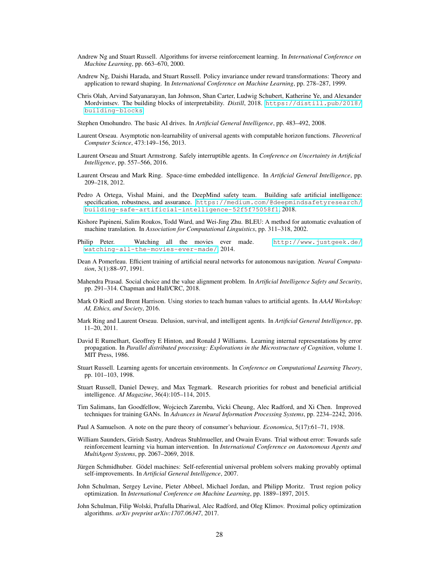- <span id="page-27-5"></span>Andrew Ng and Stuart Russell. Algorithms for inverse reinforcement learning. In *International Conference on Machine Learning*, pp. 663–670, 2000.
- <span id="page-27-12"></span>Andrew Ng, Daishi Harada, and Stuart Russell. Policy invariance under reward transformations: Theory and application to reward shaping. In *International Conference on Machine Learning*, pp. 278–287, 1999.
- <span id="page-27-17"></span>Chris Olah, Arvind Satyanarayan, Ian Johnson, Shan Carter, Ludwig Schubert, Katherine Ye, and Alexander Mordvintsev. The building blocks of interpretability. *Distill*, 2018. [https://distill.pub/2018/](https://distill.pub/2018/building-blocks) [building-blocks](https://distill.pub/2018/building-blocks).
- <span id="page-27-3"></span>Stephen Omohundro. The basic AI drives. In *Artificial General Intelligence*, pp. 483–492, 2008.
- <span id="page-27-14"></span>Laurent Orseau. Asymptotic non-learnability of universal agents with computable horizon functions. *Theoretical Computer Science*, 473:149–156, 2013.
- <span id="page-27-6"></span>Laurent Orseau and Stuart Armstrong. Safely interruptible agents. In *Conference on Uncertainty in Artificial Intelligence*, pp. 557–566, 2016.
- <span id="page-27-22"></span>Laurent Orseau and Mark Ring. Space-time embedded intelligence. In *Artificial General Intelligence*, pp. 209–218, 2012.
- <span id="page-27-1"></span>Pedro A Ortega, Vishal Maini, and the DeepMind safety team. Building safe artificial intelligence: specification, robustness, and assurance. [https://medium.com/@deepmindsafetyresearch/](https://medium.com/@deepmindsafetyresearch/building-safe-artificial-intelligence-52f5f75058f1) [building-safe-artificial-intelligence-52f5f75058f1](https://medium.com/@deepmindsafetyresearch/building-safe-artificial-intelligence-52f5f75058f1), 2018.
- <span id="page-27-7"></span>Kishore Papineni, Salim Roukos, Todd Ward, and Wei-Jing Zhu. BLEU: A method for automatic evaluation of machine translation. In *Association for Computational Linguistics*, pp. 311–318, 2002.
- <span id="page-27-16"></span>Philip Peter. Watching all the movies ever made. [http://www.justgeek.de/](http://www.justgeek.de/watching-all-the-movies-ever-made/) [watching-all-the-movies-ever-made/](http://www.justgeek.de/watching-all-the-movies-ever-made/), 2014.
- <span id="page-27-20"></span>Dean A Pomerleau. Efficient training of artificial neural networks for autonomous navigation. *Neural Computation*, 3(1):88–97, 1991.
- <span id="page-27-2"></span>Mahendra Prasad. Social choice and the value alignment problem. In *Artificial Intelligence Safety and Security*, pp. 291–314. Chapman and Hall/CRC, 2018.
- <span id="page-27-15"></span>Mark O Riedl and Brent Harrison. Using stories to teach human values to artificial agents. In *AAAI Workshop: AI, Ethics, and Society*, 2016.
- <span id="page-27-13"></span>Mark Ring and Laurent Orseau. Delusion, survival, and intelligent agents. In *Artificial General Intelligence*, pp. 11–20, 2011.
- <span id="page-27-9"></span>David E Rumelhart, Geoffrey E Hinton, and Ronald J Williams. Learning internal representations by error propagation. In *Parallel distributed processing: Explorations in the Microstructure of Cognition*, volume 1. MIT Press, 1986.
- <span id="page-27-4"></span>Stuart Russell. Learning agents for uncertain environments. In *Conference on Computational Learning Theory*, pp. 101–103, 1998.
- <span id="page-27-0"></span>Stuart Russell, Daniel Dewey, and Max Tegmark. Research priorities for robust and beneficial artificial intelligence. *AI Magazine*, 36(4):105–114, 2015.
- <span id="page-27-8"></span>Tim Salimans, Ian Goodfellow, Wojciech Zaremba, Vicki Cheung, Alec Radford, and Xi Chen. Improved techniques for training GANs. In *Advances in Neural Information Processing Systems*, pp. 2234–2242, 2016.
- <span id="page-27-21"></span>Paul A Samuelson. A note on the pure theory of consumer's behaviour. *Economica*, 5(17):61–71, 1938.
- <span id="page-27-19"></span>William Saunders, Girish Sastry, Andreas Stuhlmueller, and Owain Evans. Trial without error: Towards safe reinforcement learning via human intervention. In *International Conference on Autonomous Agents and MultiAgent Systems*, pp. 2067–2069, 2018.
- <span id="page-27-18"></span>Jürgen Schmidhuber. Gödel machines: Self-referential universal problem solvers making provably optimal self-improvements. In *Artificial General Intelligence*, 2007.
- <span id="page-27-10"></span>John Schulman, Sergey Levine, Pieter Abbeel, Michael Jordan, and Philipp Moritz. Trust region policy optimization. In *International Conference on Machine Learning*, pp. 1889–1897, 2015.
- <span id="page-27-11"></span>John Schulman, Filip Wolski, Prafulla Dhariwal, Alec Radford, and Oleg Klimov. Proximal policy optimization algorithms. *arXiv preprint arXiv:1707.06347*, 2017.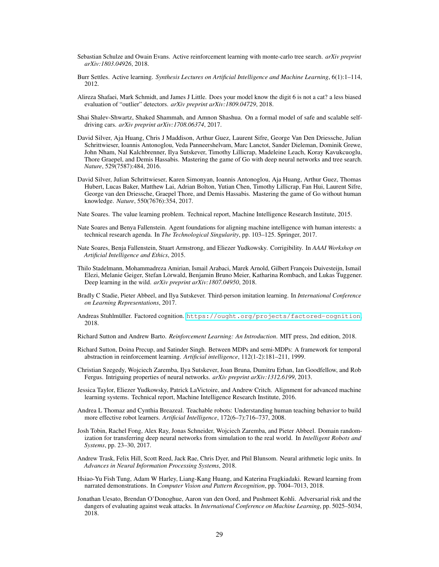- <span id="page-28-15"></span>Sebastian Schulze and Owain Evans. Active reinforcement learning with monte-carlo tree search. *arXiv preprint arXiv:1803.04926*, 2018.
- <span id="page-28-16"></span>Burr Settles. Active learning. *Synthesis Lectures on Artificial Intelligence and Machine Learning*, 6(1):1–114, 2012.
- <span id="page-28-17"></span>Alireza Shafaei, Mark Schmidt, and James J Little. Does your model know the digit 6 is not a cat? a less biased evaluation of "outlier" detectors. *arXiv preprint arXiv:1809.04729*, 2018.
- <span id="page-28-4"></span>Shai Shalev-Shwartz, Shaked Shammah, and Amnon Shashua. On a formal model of safe and scalable selfdriving cars. *arXiv preprint arXiv:1708.06374*, 2017.
- <span id="page-28-7"></span>David Silver, Aja Huang, Chris J Maddison, Arthur Guez, Laurent Sifre, George Van Den Driessche, Julian Schrittwieser, Ioannis Antonoglou, Veda Panneershelvam, Marc Lanctot, Sander Dieleman, Dominik Grewe, John Nham, Nal Kalchbrenner, Ilya Sutskever, Timothy Lillicrap, Madeleine Leach, Koray Kavukcuoglu, Thore Graepel, and Demis Hassabis. Mastering the game of Go with deep neural networks and tree search. *Nature*, 529(7587):484, 2016.
- <span id="page-28-20"></span>David Silver, Julian Schrittwieser, Karen Simonyan, Ioannis Antonoglou, Aja Huang, Arthur Guez, Thomas Hubert, Lucas Baker, Matthew Lai, Adrian Bolton, Yutian Chen, Timothy Lillicrap, Fan Hui, Laurent Sifre, George van den Driessche, Graepel Thore, and Demis Hassabis. Mastering the game of Go without human knowledge. *Nature*, 550(7676):354, 2017.
- <span id="page-28-0"></span>Nate Soares. The value learning problem. Technical report, Machine Intelligence Research Institute, 2015.
- <span id="page-28-2"></span>Nate Soares and Benya Fallenstein. Agent foundations for aligning machine intelligence with human interests: a technical research agenda. In *The Technological Singularity*, pp. 103–125. Springer, 2017.
- <span id="page-28-6"></span>Nate Soares, Benja Fallenstein, Stuart Armstrong, and Eliezer Yudkowsky. Corrigibility. In *AAAI Workshop on Artificial Intelligence and Ethics*, 2015.
- <span id="page-28-8"></span>Thilo Stadelmann, Mohammadreza Amirian, Ismail Arabaci, Marek Arnold, Gilbert François Duivesteijn, Ismail Elezi, Melanie Geiger, Stefan Lörwald, Benjamin Bruno Meier, Katharina Rombach, and Lukas Tuggener. Deep learning in the wild. *arXiv preprint arXiv:1807.04950*, 2018.
- <span id="page-28-12"></span>Bradly C Stadie, Pieter Abbeel, and Ilya Sutskever. Third-person imitation learning. In *International Conference on Learning Representations*, 2017.
- <span id="page-28-19"></span>Andreas Stuhlmüller. Factored cognition. <https://ought.org/projects/factored-cognition>, 2018.
- <span id="page-28-3"></span>Richard Sutton and Andrew Barto. *Reinforcement Learning: An Introduction*. MIT press, 2nd edition, 2018.
- <span id="page-28-13"></span>Richard Sutton, Doina Precup, and Satinder Singh. Between MDPs and semi-MDPs: A framework for temporal abstraction in reinforcement learning. *Artificial intelligence*, 112(1-2):181–211, 1999.
- <span id="page-28-5"></span>Christian Szegedy, Wojciech Zaremba, Ilya Sutskever, Joan Bruna, Dumitru Erhan, Ian Goodfellow, and Rob Fergus. Intriguing properties of neural networks. *arXiv preprint arXiv:1312.6199*, 2013.
- <span id="page-28-1"></span>Jessica Taylor, Eliezer Yudkowsky, Patrick LaVictoire, and Andrew Critch. Alignment for advanced machine learning systems. Technical report, Machine Intelligence Research Institute, 2016.
- <span id="page-28-10"></span>Andrea L Thomaz and Cynthia Breazeal. Teachable robots: Understanding human teaching behavior to build more effective robot learners. *Artificial Intelligence*, 172(6–7):716–737, 2008.
- <span id="page-28-11"></span>Josh Tobin, Rachel Fong, Alex Ray, Jonas Schneider, Wojciech Zaremba, and Pieter Abbeel. Domain randomization for transferring deep neural networks from simulation to the real world. In *Intelligent Robots and Systems*, pp. 23–30, 2017.
- <span id="page-28-18"></span>Andrew Trask, Felix Hill, Scott Reed, Jack Rae, Chris Dyer, and Phil Blunsom. Neural arithmetic logic units. In *Advances in Neural Information Processing Systems*, 2018.
- <span id="page-28-9"></span>Hsiao-Yu Fish Tung, Adam W Harley, Liang-Kang Huang, and Katerina Fragkiadaki. Reward learning from narrated demonstrations. In *Computer Vision and Pattern Recognition*, pp. 7004–7013, 2018.
- <span id="page-28-14"></span>Jonathan Uesato, Brendan O'Donoghue, Aaron van den Oord, and Pushmeet Kohli. Adversarial risk and the dangers of evaluating against weak attacks. In *International Conference on Machine Learning*, pp. 5025–5034, 2018.